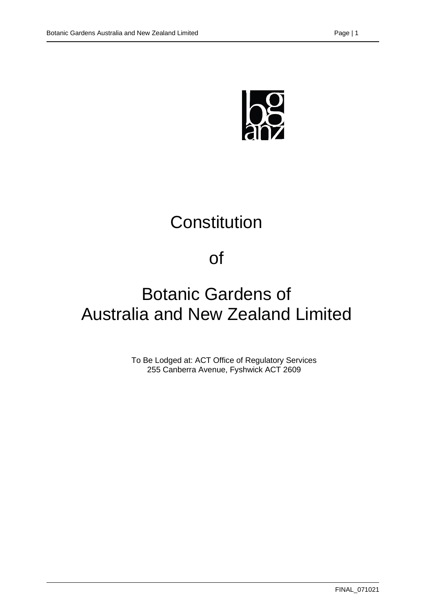

# **Constitution**

# of

# Botanic Gardens of Australia and New Zealand Limited

To Be Lodged at: ACT Office of Regulatory Services 255 Canberra Avenue, Fyshwick ACT 2609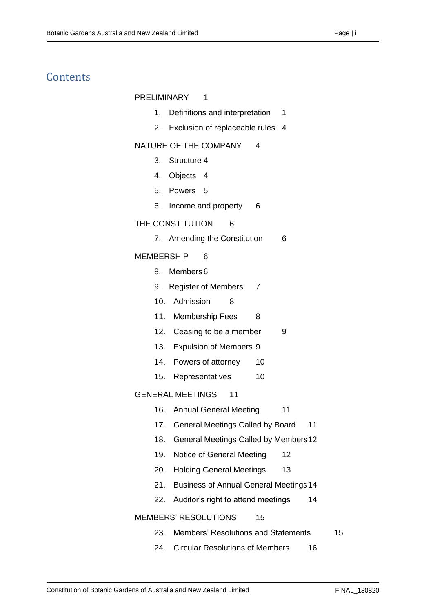## **Contents**

#### [PRELIMINARY](#page-5-0) 1

- 1. [Definitions and interpretation](#page-5-1) 1
- 2. [Exclusion of replaceable rules](#page-8-0) 4

#### [NATURE OF THE COMPANY](#page-8-1) 4

- 3. [Structure](#page-8-2) 4
- 4. [Objects](#page-8-3) 4
- 5. [Powers](#page-9-0) 5
- 6. [Income and property](#page-10-0) 6

#### [THE CONSTITUTION](#page-10-1) 6

7. [Amending the Constitution](#page-10-2) 6

#### [MEMBERSHIP](#page-10-3) 6

- 8. [Members6](#page-10-4)
- 9. [Register of Members](#page-11-0) 7
- 10. [Admission](#page-12-0) 8
- 11. [Membership Fees](#page-12-1) 8
- 12. Ceasing to [be a member](#page-13-0) 9
- 13. [Expulsion of Members](#page-13-1) 9
- 14. [Powers of attorney](#page-14-0) 10
- 15. [Representatives](#page-14-1) 10

[GENERAL MEETINGS](#page-15-0) 11

- 16. [Annual General Meeting](#page-15-1) 11
- 17. [General Meetings Called by Board](#page-15-2) 11
- 18. [General Meetings Called by Members12](#page-16-0)
- 19. [Notice of General Meeting](#page-16-1) 12
- 20. [Holding General Meetings](#page-17-0) 13
- 21. [Business of Annual General Meetings14](#page-18-0)
- 22. [Auditor's right to attend meetings](#page-18-1) 14

#### [MEMBERS' RESOLUTIONS](#page-19-0) 15

- 23. [Members' Resolutions and Statements](#page-19-1) 15
- 24. [Circular Resolutions of Members](#page-20-0) 16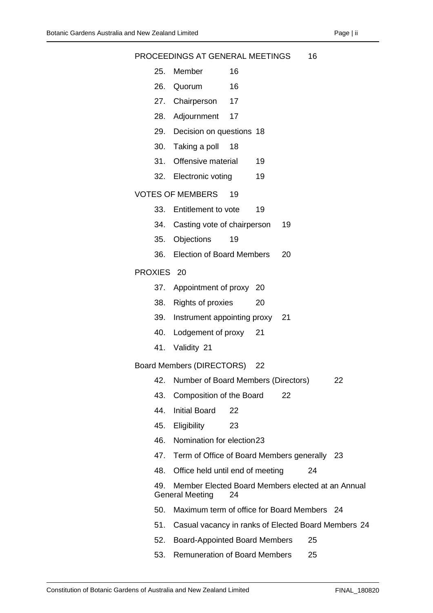|            |     | PROCEEDINGS AT GENERAL MEETINGS                                             |    |    |    | 16 |    |
|------------|-----|-----------------------------------------------------------------------------|----|----|----|----|----|
|            | 25. | Member                                                                      | 16 |    |    |    |    |
|            | 26. | Quorum                                                                      | 16 |    |    |    |    |
|            |     | 27. Chairperson                                                             | 17 |    |    |    |    |
|            | 28. | Adjournment                                                                 | 17 |    |    |    |    |
|            | 29. | Decision on questions 18                                                    |    |    |    |    |    |
|            | 30. | Taking a poll                                                               | 18 |    |    |    |    |
|            | 31. | Offensive material                                                          |    | 19 |    |    |    |
|            | 32. | Electronic voting                                                           |    | 19 |    |    |    |
|            |     | <b>VOTES OF MEMBERS</b>                                                     | 19 |    |    |    |    |
|            | 33. | Entitlement to vote                                                         |    | 19 |    |    |    |
|            | 34. | Casting vote of chairperson                                                 |    |    | 19 |    |    |
|            | 35. | Objections                                                                  | 19 |    |    |    |    |
|            | 36. | <b>Election of Board Members</b>                                            |    |    | 20 |    |    |
| PROXIES 20 |     |                                                                             |    |    |    |    |    |
|            |     | 37. Appointment of proxy 20                                                 |    |    |    |    |    |
|            | 38. | <b>Rights of proxies</b>                                                    |    | 20 |    |    |    |
|            | 39. | Instrument appointing proxy 21                                              |    |    |    |    |    |
|            | 40. | Lodgement of proxy                                                          |    | 21 |    |    |    |
|            | 41. | Validity 21                                                                 |    |    |    |    |    |
|            |     | Board Members (DIRECTORS)                                                   |    | 22 |    |    |    |
|            | 42. | Number of Board Members (Directors)                                         |    |    |    |    | 22 |
|            | 43. | Composition of the Board                                                    |    |    | 22 |    |    |
|            | 44. | <b>Initial Board</b>                                                        | 22 |    |    |    |    |
|            | 45. | Eligibility                                                                 | 23 |    |    |    |    |
|            | 46. | Nomination for election23                                                   |    |    |    |    |    |
|            | 47. | Term of Office of Board Members generally 23                                |    |    |    |    |    |
|            | 48. | Office held until end of meeting                                            |    |    |    | 24 |    |
|            | 49. | Member Elected Board Members elected at an Annual<br><b>General Meeting</b> | 24 |    |    |    |    |
|            | 50. | Maximum term of office for Board Members 24                                 |    |    |    |    |    |
|            | 51. | Casual vacancy in ranks of Elected Board Members 24                         |    |    |    |    |    |
|            | 52. | <b>Board-Appointed Board Members</b>                                        |    |    |    | 25 |    |
|            |     |                                                                             |    |    |    |    |    |

53. [Remuneration of Board Members](#page-29-1) 25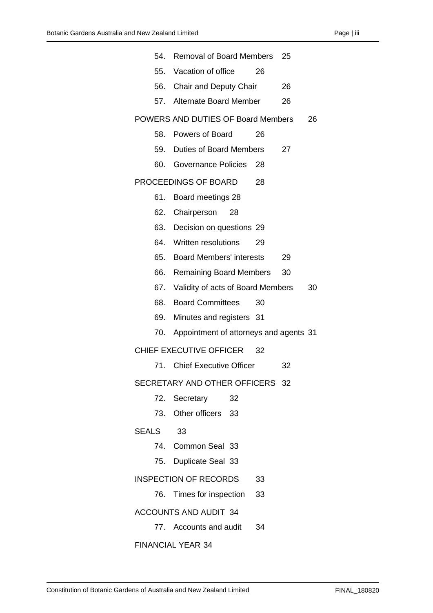|                              | 54. Removal of Board Members           |    | 25 |    |
|------------------------------|----------------------------------------|----|----|----|
|                              | 55. Vacation of office                 | 26 |    |    |
|                              | 56. Chair and Deputy Chair             |    | 26 |    |
|                              | 57. Alternate Board Member             |    | 26 |    |
|                              | POWERS AND DUTIES OF Board Members     |    |    | 26 |
|                              | 58. Powers of Board                    | 26 |    |    |
| 59.                          | Duties of Board Members                |    | 27 |    |
|                              | 60. Governance Policies                | 28 |    |    |
|                              | PROCEEDINGS OF BOARD                   | 28 |    |    |
| 61.                          | Board meetings 28                      |    |    |    |
| 62.                          | Chairperson<br>28                      |    |    |    |
|                              | 63. Decision on questions 29           |    |    |    |
|                              | 64. Written resolutions                | 29 |    |    |
|                              | 65. Board Members' interests           |    | 29 |    |
|                              | 66. Remaining Board Members            |    | 30 |    |
|                              | 67. Validity of acts of Board Members  |    |    | 30 |
|                              | 68. Board Committees                   | 30 |    |    |
| 69.                          | Minutes and registers 31               |    |    |    |
| 70.                          | Appointment of attorneys and agents 31 |    |    |    |
|                              | CHIEF EXECUTIVE OFFICER 32             |    |    |    |
|                              | 71. Chief Executive Officer            |    | 32 |    |
|                              | SECRETARY AND OTHER OFFICERS 32        |    |    |    |
|                              | 72. Secretary<br>32                    |    |    |    |
|                              | 73. Other officers 33                  |    |    |    |
| <b>SEALS</b>                 | 33                                     |    |    |    |
|                              | 74. Common Seal 33                     |    |    |    |
|                              | 75. Duplicate Seal 33                  |    |    |    |
|                              | <b>INSPECTION OF RECORDS</b>           | 33 |    |    |
|                              | 76. Times for inspection               | 33 |    |    |
| <b>ACCOUNTS AND AUDIT 34</b> |                                        |    |    |    |
|                              | 77. Accounts and audit                 | 34 |    |    |

[FINANCIAL YEAR](#page-38-2) 34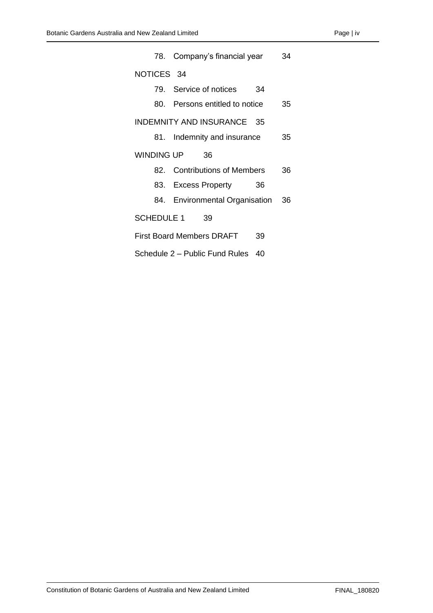|                                        | 78. Company's financial year      |    |    |  |
|----------------------------------------|-----------------------------------|----|----|--|
| NOTICES 34                             |                                   |    |    |  |
|                                        | 79. Service of notices<br>34      |    |    |  |
|                                        | 80. Persons entitled to notice    |    |    |  |
| INDEMNITY AND INSURANCE 35             |                                   |    |    |  |
|                                        | 81. Indemnity and insurance       |    |    |  |
| <b>WINDING UP</b>                      | 36                                |    |    |  |
|                                        | 82. Contributions of Members      |    | 36 |  |
|                                        | 83. Excess Property               | 36 |    |  |
|                                        | 84. Environmental Organisation 36 |    |    |  |
| SCHEDULE 1 39                          |                                   |    |    |  |
| <b>First Board Members DRAFT</b><br>39 |                                   |    |    |  |
| Schedule 2 - Public Fund Rules<br>40   |                                   |    |    |  |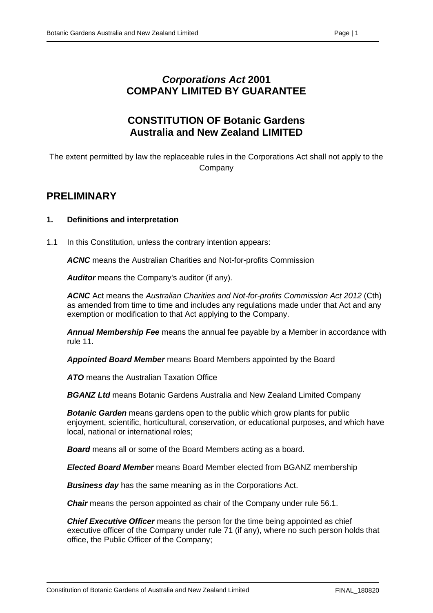## *Corporations Act* **2001 COMPANY LIMITED BY GUARANTEE**

## **CONSTITUTION OF Botanic Gardens Australia and New Zealand LIMITED**

The extent permitted by law the replaceable rules in the Corporations Act shall not apply to the **Company** 

## <span id="page-5-0"></span>**PRELIMINARY**

#### <span id="page-5-1"></span>**1. Definitions and interpretation**

1.1 In this Constitution, unless the contrary intention appears:

*ACNC* means the Australian Charities and Not-for-profits Commission

*Auditor* means the Company's auditor (if any).

*ACNC* Act means the *Australian Charities and Not-for-profits Commission Act 2012* (Cth) as amended from time to time and includes any regulations made under that Act and any exemption or modification to that Act applying to the Company.

*Annual Membership Fee* means the annual fee payable by a Member in accordance with rule 11.

*Appointed Board Member* means Board Members appointed by the Board

*ATO* means the Australian Taxation Office

*BGANZ Ltd* means Botanic Gardens Australia and New Zealand Limited Company

*Botanic Garden* means gardens open to the public which grow plants for public enjoyment, scientific, horticultural, conservation, or educational purposes, and which have local, national or international roles;

*Board* means all or some of the Board Members acting as a board.

*Elected Board Member* means Board Member elected from BGANZ membership

*Business day* has the same meaning as in the Corporations Act.

**Chair** means the person appointed as chair of the Company under rule 56.1.

*Chief Executive Officer* means the person for the time being appointed as chief executive officer of the Company under rule 71 (if any), where no such person holds that office, the Public Officer of the Company;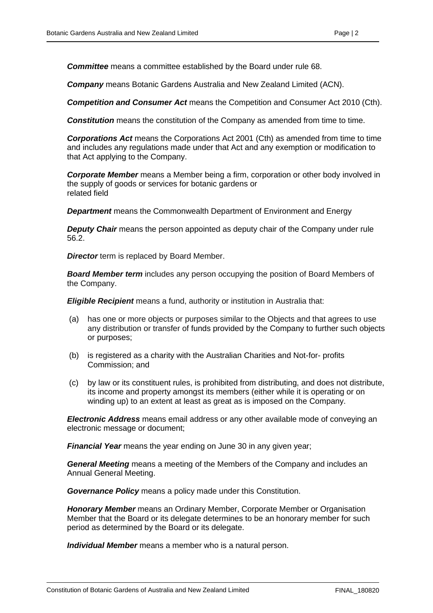*Company* means Botanic Gardens Australia and New Zealand Limited (ACN).

*Competition and Consumer Act* means the Competition and Consumer Act 2010 (Cth).

**Constitution** means the constitution of the Company as amended from time to time.

*Corporations Act* means the Corporations Act 2001 (Cth) as amended from time to time and includes any regulations made under that Act and any exemption or modification to that Act applying to the Company.

*Corporate Member* means a Member being a firm, corporation or other body involved in the supply of goods or services for botanic gardens or related field

*Department* means the Commonwealth Department of Environment and Energy

*Deputy Chair* means the person appointed as deputy chair of the Company under rule 56.2.

**Director** term is replaced by Board Member.

*Board Member term* includes any person occupying the position of Board Members of the Company.

**Eligible Recipient** means a fund, authority or institution in Australia that:

- (a) has one or more objects or purposes similar to the Objects and that agrees to use any distribution or transfer of funds provided by the Company to further such objects or purposes;
- (b) is registered as a charity with the Australian Charities and Not-for- profits Commission; and
- (c) by law or its constituent rules, is prohibited from distributing, and does not distribute, its income and property amongst its members (either while it is operating or on winding up) to an extent at least as great as is imposed on the Company.

*Electronic Address* means email address or any other available mode of conveying an electronic message or document;

*Financial Year* means the year ending on June 30 in any given year;

*General Meeting* means a meeting of the Members of the Company and includes an Annual General Meeting.

*Governance Policy* means a policy made under this Constitution.

*Honorary Member* means an Ordinary Member, Corporate Member or Organisation Member that the Board or its delegate determines to be an honorary member for such period as determined by the Board or its delegate.

*Individual Member* means a member who is a natural person.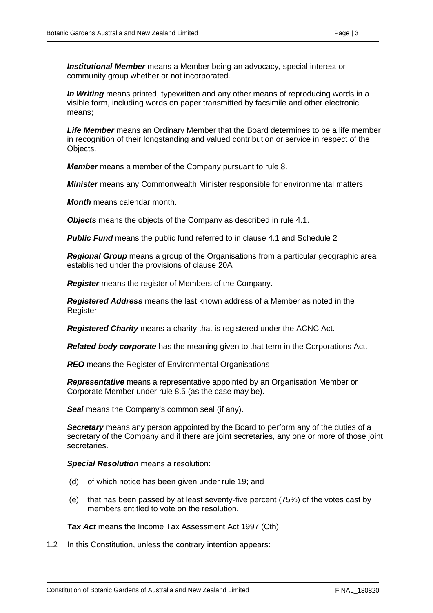*Institutional Member* means a Member being an advocacy, special interest or community group whether or not incorporated.

*In Writing* means printed, typewritten and any other means of reproducing words in a visible form, including words on paper transmitted by facsimile and other electronic means;

*Life Member* means an Ordinary Member that the Board determines to be a life member in recognition of their longstanding and valued contribution or service in respect of the Objects.

*Member* means a member of the Company pursuant to rule 8.

*Minister* means any Commonwealth Minister responsible for environmental matters

*Month* means calendar month.

*Objects* means the objects of the Company as described in rule 4.1.

**Public Fund** means the public fund referred to in clause 4.1 and Schedule 2

*Regional Group* means a group of the Organisations from a particular geographic area established under the provisions of clause 20A

*Register* means the register of Members of the Company.

*Registered Address* means the last known address of a Member as noted in the Register.

*Registered Charity* means a charity that is registered under the ACNC Act.

*Related body corporate* has the meaning given to that term in the Corporations Act.

*REO* means the Register of Environmental Organisations

*Representative* means a representative appointed by an Organisation Member or Corporate Member under rule 8.5 (as the case may be).

**Seal** means the Company's common seal (if any).

*Secretary* means any person appointed by the Board to perform any of the duties of a secretary of the Company and if there are joint secretaries, any one or more of those joint secretaries.

*Special Resolution* means a resolution:

- (d) of which notice has been given under rule 19; and
- (e) that has been passed by at least seventy-five percent (75%) of the votes cast by members entitled to vote on the resolution.

*Tax Act* means the Income Tax Assessment Act 1997 (Cth).

1.2 In this Constitution, unless the contrary intention appears: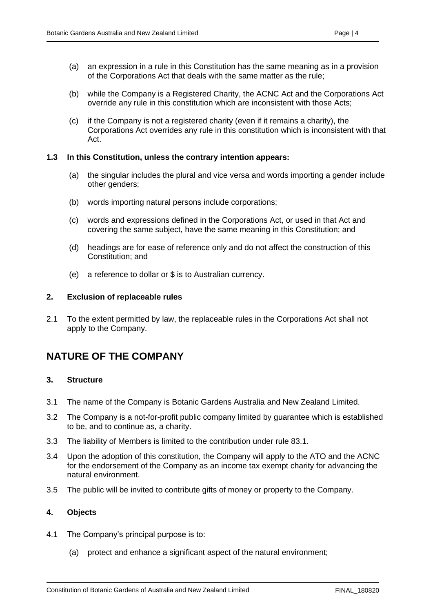- (a) an expression in a rule in this Constitution has the same meaning as in a provision of the Corporations Act that deals with the same matter as the rule;
- (b) while the Company is a Registered Charity, the ACNC Act and the Corporations Act override any rule in this constitution which are inconsistent with those Acts;
- (c) if the Company is not a registered charity (even if it remains a charity), the Corporations Act overrides any rule in this constitution which is inconsistent with that Act.

#### **1.3 In this Constitution, unless the contrary intention appears:**

- (a) the singular includes the plural and vice versa and words importing a gender include other genders;
- (b) words importing natural persons include corporations;
- (c) words and expressions defined in the Corporations Act, or used in that Act and covering the same subject, have the same meaning in this Constitution; and
- (d) headings are for ease of reference only and do not affect the construction of this Constitution; and
- (e) a reference to dollar or \$ is to Australian currency.

#### <span id="page-8-0"></span>**2. Exclusion of replaceable rules**

2.1 To the extent permitted by law, the replaceable rules in the Corporations Act shall not apply to the Company.

## <span id="page-8-1"></span>**NATURE OF THE COMPANY**

#### <span id="page-8-2"></span>**3. Structure**

- 3.1 The name of the Company is Botanic Gardens Australia and New Zealand Limited.
- 3.2 The Company is a not-for-profit public company limited by guarantee which is established to be, and to continue as, a charity.
- 3.3 The liability of Members is limited to the contribution under rule 83.1.
- 3.4 Upon the adoption of this constitution, the Company will apply to the ATO and the ACNC for the endorsement of the Company as an income tax exempt charity for advancing the natural environment.
- 3.5 The public will be invited to contribute gifts of money or property to the Company.

#### <span id="page-8-3"></span>**4. Objects**

- 4.1 The Company's principal purpose is to:
	- (a) protect and enhance a significant aspect of the natural environment;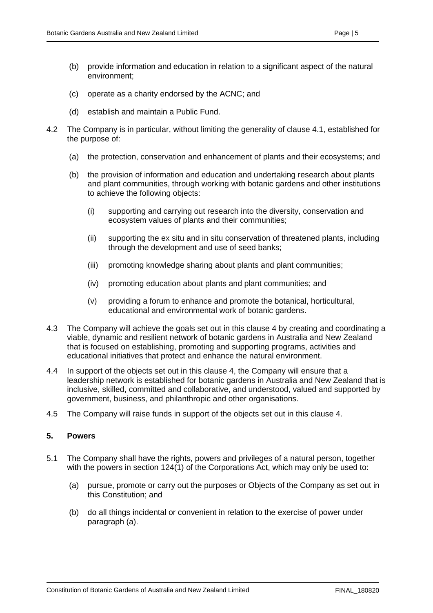- (b) provide information and education in relation to a significant aspect of the natural environment;
- (c) operate as a charity endorsed by the ACNC; and
- (d) establish and maintain a Public Fund.
- 4.2 The Company is in particular, without limiting the generality of clause 4.1, established for the purpose of:
	- (a) the protection, conservation and enhancement of plants and their ecosystems; and
	- (b) the provision of information and education and undertaking research about plants and plant communities, through working with botanic gardens and other institutions to achieve the following objects:
		- (i) supporting and carrying out research into the diversity, conservation and ecosystem values of plants and their communities;
		- (ii) supporting the ex situ and in situ conservation of threatened plants, including through the development and use of seed banks;
		- (iii) promoting knowledge sharing about plants and plant communities;
		- (iv) promoting education about plants and plant communities; and
		- (v) providing a forum to enhance and promote the botanical, horticultural, educational and environmental work of botanic gardens.
- 4.3 The Company will achieve the goals set out in this clause 4 by creating and coordinating a viable, dynamic and resilient network of botanic gardens in Australia and New Zealand that is focused on establishing, promoting and supporting programs, activities and educational initiatives that protect and enhance the natural environment.
- 4.4 In support of the objects set out in this clause 4, the Company will ensure that a leadership network is established for botanic gardens in Australia and New Zealand that is inclusive, skilled, committed and collaborative, and understood, valued and supported by government, business, and philanthropic and other organisations.
- 4.5 The Company will raise funds in support of the objects set out in this clause 4.

#### <span id="page-9-0"></span>**5. Powers**

- 5.1 The Company shall have the rights, powers and privileges of a natural person, together with the powers in section 124(1) of the Corporations Act, which may only be used to:
	- (a) pursue, promote or carry out the purposes or Objects of the Company as set out in this Constitution; and
	- (b) do all things incidental or convenient in relation to the exercise of power under paragraph (a).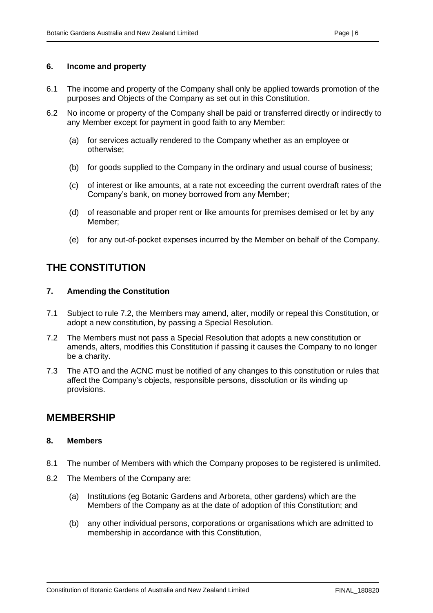- <span id="page-10-0"></span>6.1 The income and property of the Company shall only be applied towards promotion of the purposes and Objects of the Company as set out in this Constitution.
- 6.2 No income or property of the Company shall be paid or transferred directly or indirectly to any Member except for payment in good faith to any Member:
	- (a) for services actually rendered to the Company whether as an employee or otherwise;
	- (b) for goods supplied to the Company in the ordinary and usual course of business;
	- (c) of interest or like amounts, at a rate not exceeding the current overdraft rates of the Company's bank, on money borrowed from any Member;
	- (d) of reasonable and proper rent or like amounts for premises demised or let by any Member;
	- (e) for any out-of-pocket expenses incurred by the Member on behalf of the Company.

## <span id="page-10-1"></span>**THE CONSTITUTION**

#### <span id="page-10-2"></span>**7. Amending the Constitution**

- 7.1 Subject to rule 7.2, the Members may amend, alter, modify or repeal this Constitution, or adopt a new constitution, by passing a Special Resolution.
- 7.2 The Members must not pass a Special Resolution that adopts a new constitution or amends, alters, modifies this Constitution if passing it causes the Company to no longer be a charity.
- 7.3 The ATO and the ACNC must be notified of any changes to this constitution or rules that affect the Company's objects, responsible persons, dissolution or its winding up provisions.

### <span id="page-10-3"></span>**MEMBERSHIP**

#### <span id="page-10-4"></span>**8. Members**

- 8.1 The number of Members with which the Company proposes to be registered is unlimited.
- 8.2 The Members of the Company are:
	- (a) Institutions (eg Botanic Gardens and Arboreta, other gardens) which are the Members of the Company as at the date of adoption of this Constitution; and
	- (b) any other individual persons, corporations or organisations which are admitted to membership in accordance with this Constitution,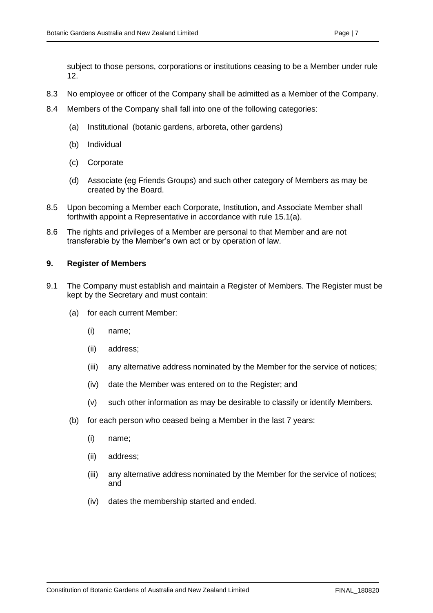subject to those persons, corporations or institutions ceasing to be a Member under rule 12.

- 8.3 No employee or officer of the Company shall be admitted as a Member of the Company.
- 8.4 Members of the Company shall fall into one of the following categories:
	- (a) Institutional (botanic gardens, arboreta, other gardens)
	- (b) Individual
	- (c) Corporate
	- (d) Associate (eg Friends Groups) and such other category of Members as may be created by the Board.
- 8.5 Upon becoming a Member each Corporate, Institution, and Associate Member shall forthwith appoint a Representative in accordance with rule 15.1(a).
- 8.6 The rights and privileges of a Member are personal to that Member and are not transferable by the Member's own act or by operation of law.

#### <span id="page-11-0"></span>**9. Register of Members**

- 9.1 The Company must establish and maintain a Register of Members. The Register must be kept by the Secretary and must contain:
	- (a) for each current Member:
		- (i) name;
		- (ii) address;
		- (iii) any alternative address nominated by the Member for the service of notices;
		- (iv) date the Member was entered on to the Register; and
		- (v) such other information as may be desirable to classify or identify Members.
	- (b) for each person who ceased being a Member in the last 7 years:
		- (i) name;
		- (ii) address;
		- (iii) any alternative address nominated by the Member for the service of notices; and
		- (iv) dates the membership started and ended.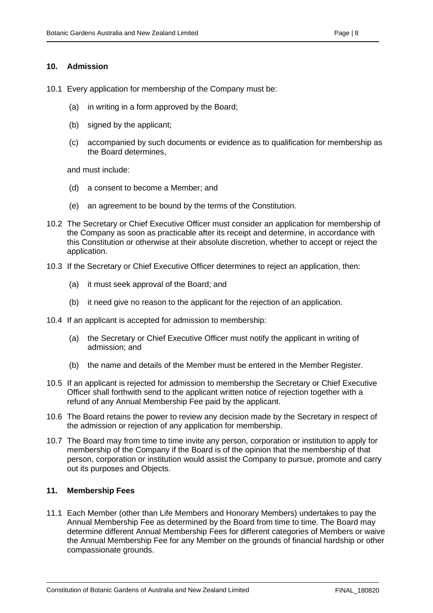#### <span id="page-12-0"></span>**10. Admission**

- 10.1 Every application for membership of the Company must be:
	- (a) in writing in a form approved by the Board;
	- (b) signed by the applicant;
	- (c) accompanied by such documents or evidence as to qualification for membership as the Board determines,

and must include:

- (d) a consent to become a Member; and
- (e) an agreement to be bound by the terms of the Constitution.
- 10.2 The Secretary or Chief Executive Officer must consider an application for membership of the Company as soon as practicable after its receipt and determine, in accordance with this Constitution or otherwise at their absolute discretion, whether to accept or reject the application.
- 10.3 If the Secretary or Chief Executive Officer determines to reject an application, then:
	- (a) it must seek approval of the Board; and
	- (b) it need give no reason to the applicant for the rejection of an application.
- 10.4 If an applicant is accepted for admission to membership:
	- (a) the Secretary or Chief Executive Officer must notify the applicant in writing of admission; and
	- (b) the name and details of the Member must be entered in the Member Register.
- 10.5 If an applicant is rejected for admission to membership the Secretary or Chief Executive Officer shall forthwith send to the applicant written notice of rejection together with a refund of any Annual Membership Fee paid by the applicant.
- 10.6 The Board retains the power to review any decision made by the Secretary in respect of the admission or rejection of any application for membership.
- 10.7 The Board may from time to time invite any person, corporation or institution to apply for membership of the Company if the Board is of the opinion that the membership of that person, corporation or institution would assist the Company to pursue, promote and carry out its purposes and Objects.

#### <span id="page-12-1"></span>**11. Membership Fees**

11.1 Each Member (other than Life Members and Honorary Members) undertakes to pay the Annual Membership Fee as determined by the Board from time to time. The Board may determine different Annual Membership Fees for different categories of Members or waive the Annual Membership Fee for any Member on the grounds of financial hardship or other compassionate grounds.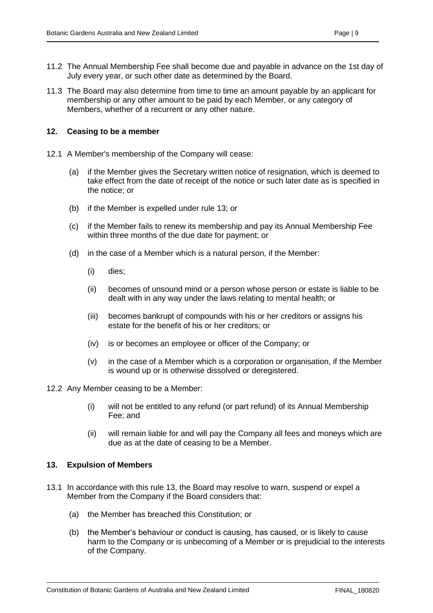- 11.2 The Annual Membership Fee shall become due and payable in advance on the 1st day of July every year, or such other date as determined by the Board.
- 11.3 The Board may also determine from time to time an amount payable by an applicant for membership or any other amount to be paid by each Member, or any category of Members, whether of a recurrent or any other nature.

#### <span id="page-13-0"></span>**12. Ceasing to be a member**

- 12.1 A Member's membership of the Company will cease:
	- (a) if the Member gives the Secretary written notice of resignation, which is deemed to take effect from the date of receipt of the notice or such later date as is specified in the notice; or
	- (b) if the Member is expelled under rule 13; or
	- (c) if the Member fails to renew its membership and pay its Annual Membership Fee within three months of the due date for payment; or
	- (d) in the case of a Member which is a natural person, if the Member:
		- (i) dies;
		- (ii) becomes of unsound mind or a person whose person or estate is liable to be dealt with in any way under the laws relating to mental health; or
		- (iii) becomes bankrupt of compounds with his or her creditors or assigns his estate for the benefit of his or her creditors; or
		- (iv) is or becomes an employee or officer of the Company; or
		- (v) in the case of a Member which is a corporation or organisation, if the Member is wound up or is otherwise dissolved or deregistered.
- 12.2 Any Member ceasing to be a Member:
	- (i) will not be entitled to any refund (or part refund) of its Annual Membership Fee; and
	- (ii) will remain liable for and will pay the Company all fees and moneys which are due as at the date of ceasing to be a Member.

#### <span id="page-13-1"></span>**13. Expulsion of Members**

- 13.1 In accordance with this rule 13, the Board may resolve to warn, suspend or expel a Member from the Company if the Board considers that:
	- (a) the Member has breached this Constitution; or
	- (b) the Member's behaviour or conduct is causing, has caused, or is likely to cause harm to the Company or is unbecoming of a Member or is prejudicial to the interests of the Company.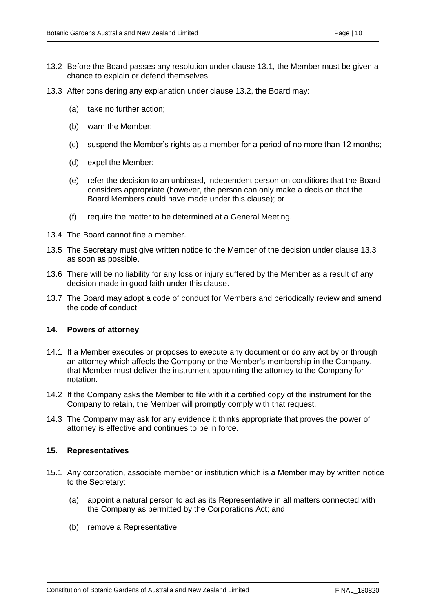- 13.3 After considering any explanation under clause 13.2, the Board may:
	- (a) take no further action;
	- (b) warn the Member;
	- (c) suspend the Member's rights as a member for a period of no more than 12 months;
	- (d) expel the Member;
	- (e) refer the decision to an unbiased, independent person on conditions that the Board considers appropriate (however, the person can only make a decision that the Board Members could have made under this clause); or
	- (f) require the matter to be determined at a General Meeting.
- 13.4 The Board cannot fine a member.
- 13.5 The Secretary must give written notice to the Member of the decision under clause 13.3 as soon as possible.
- 13.6 There will be no liability for any loss or injury suffered by the Member as a result of any decision made in good faith under this clause.
- 13.7 The Board may adopt a code of conduct for Members and periodically review and amend the code of conduct.

#### <span id="page-14-0"></span>**14. Powers of attorney**

- 14.1 If a Member executes or proposes to execute any document or do any act by or through an attorney which affects the Company or the Member's membership in the Company, that Member must deliver the instrument appointing the attorney to the Company for notation.
- 14.2 If the Company asks the Member to file with it a certified copy of the instrument for the Company to retain, the Member will promptly comply with that request.
- 14.3 The Company may ask for any evidence it thinks appropriate that proves the power of attorney is effective and continues to be in force.

#### <span id="page-14-1"></span>**15. Representatives**

- 15.1 Any corporation, associate member or institution which is a Member may by written notice to the Secretary:
	- (a) appoint a natural person to act as its Representative in all matters connected with the Company as permitted by the Corporations Act; and
	- (b) remove a Representative.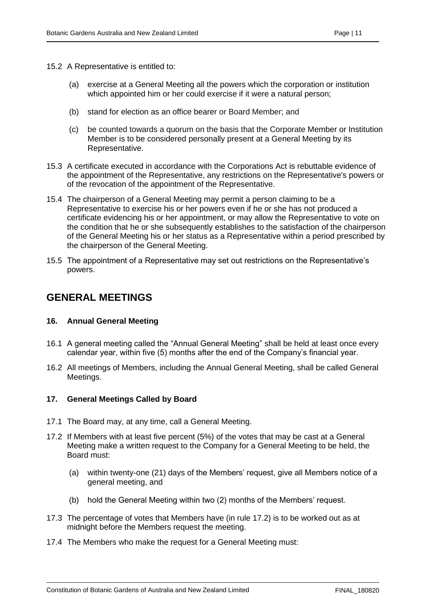- 15.2 A Representative is entitled to:
	- (a) exercise at a General Meeting all the powers which the corporation or institution which appointed him or her could exercise if it were a natural person:
	- (b) stand for election as an office bearer or Board Member; and
	- (c) be counted towards a quorum on the basis that the Corporate Member or Institution Member is to be considered personally present at a General Meeting by its Representative.
- 15.3 A certificate executed in accordance with the Corporations Act is rebuttable evidence of the appointment of the Representative, any restrictions on the Representative's powers or of the revocation of the appointment of the Representative.
- 15.4 The chairperson of a General Meeting may permit a person claiming to be a Representative to exercise his or her powers even if he or she has not produced a certificate evidencing his or her appointment, or may allow the Representative to vote on the condition that he or she subsequently establishes to the satisfaction of the chairperson of the General Meeting his or her status as a Representative within a period prescribed by the chairperson of the General Meeting.
- 15.5 The appointment of a Representative may set out restrictions on the Representative's powers.

## <span id="page-15-0"></span>**GENERAL MEETINGS**

#### <span id="page-15-1"></span>**16. Annual General Meeting**

- 16.1 A general meeting called the "Annual General Meeting" shall be held at least once every calendar year, within five (5) months after the end of the Company's financial year.
- 16.2 All meetings of Members, including the Annual General Meeting, shall be called General Meetings.

#### <span id="page-15-2"></span>**17. General Meetings Called by Board**

- 17.1 The Board may, at any time, call a General Meeting.
- 17.2 If Members with at least five percent (5%) of the votes that may be cast at a General Meeting make a written request to the Company for a General Meeting to be held, the Board must:
	- (a) within twenty-one (21) days of the Members' request, give all Members notice of a general meeting, and
	- (b) hold the General Meeting within two (2) months of the Members' request.
- 17.3 The percentage of votes that Members have (in rule 17.2) is to be worked out as at midnight before the Members request the meeting.
- 17.4 The Members who make the request for a General Meeting must: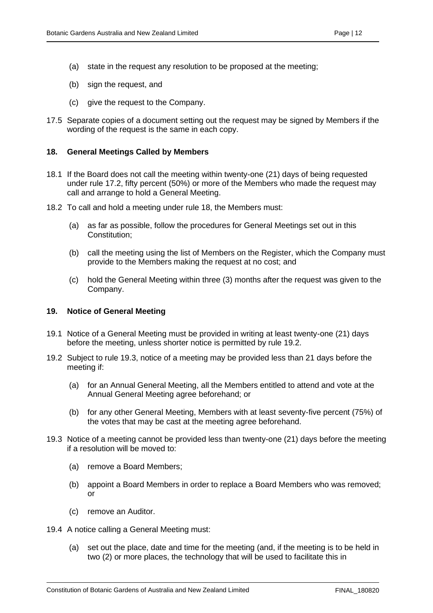- (a) state in the request any resolution to be proposed at the meeting;
- (b) sign the request, and
- (c) give the request to the Company.
- 17.5 Separate copies of a document setting out the request may be signed by Members if the wording of the request is the same in each copy.

#### <span id="page-16-0"></span>**18. General Meetings Called by Members**

- 18.1 If the Board does not call the meeting within twenty-one (21) days of being requested under rule 17.2, fifty percent (50%) or more of the Members who made the request may call and arrange to hold a General Meeting.
- 18.2 To call and hold a meeting under rule 18, the Members must:
	- (a) as far as possible, follow the procedures for General Meetings set out in this Constitution;
	- (b) call the meeting using the list of Members on the Register, which the Company must provide to the Members making the request at no cost; and
	- (c) hold the General Meeting within three (3) months after the request was given to the Company.

#### <span id="page-16-1"></span>**19. Notice of General Meeting**

- 19.1 Notice of a General Meeting must be provided in writing at least twenty-one (21) days before the meeting, unless shorter notice is permitted by rule 19.2.
- 19.2 Subject to rule 19.3, notice of a meeting may be provided less than 21 days before the meeting if:
	- (a) for an Annual General Meeting, all the Members entitled to attend and vote at the Annual General Meeting agree beforehand; or
	- (b) for any other General Meeting, Members with at least seventy-five percent (75%) of the votes that may be cast at the meeting agree beforehand.
- 19.3 Notice of a meeting cannot be provided less than twenty-one (21) days before the meeting if a resolution will be moved to:
	- (a) remove a Board Members;
	- (b) appoint a Board Members in order to replace a Board Members who was removed; or
	- (c) remove an Auditor.
- 19.4 A notice calling a General Meeting must:
	- (a) set out the place, date and time for the meeting (and, if the meeting is to be held in two (2) or more places, the technology that will be used to facilitate this in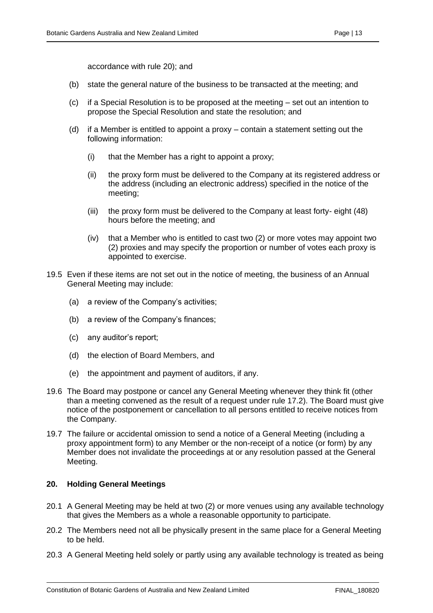accordance with rule 20); and

- (b) state the general nature of the business to be transacted at the meeting; and
- (c) if a Special Resolution is to be proposed at the meeting set out an intention to propose the Special Resolution and state the resolution; and
- (d) if a Member is entitled to appoint a proxy contain a statement setting out the following information:
	- (i) that the Member has a right to appoint a proxy;
	- (ii) the proxy form must be delivered to the Company at its registered address or the address (including an electronic address) specified in the notice of the meeting;
	- (iii) the proxy form must be delivered to the Company at least forty- eight (48) hours before the meeting; and
	- (iv) that a Member who is entitled to cast two (2) or more votes may appoint two (2) proxies and may specify the proportion or number of votes each proxy is appointed to exercise.
- 19.5 Even if these items are not set out in the notice of meeting, the business of an Annual General Meeting may include:
	- (a) a review of the Company's activities;
	- (b) a review of the Company's finances;
	- (c) any auditor's report;
	- (d) the election of Board Members, and
	- (e) the appointment and payment of auditors, if any.
- 19.6 The Board may postpone or cancel any General Meeting whenever they think fit (other than a meeting convened as the result of a request under rule 17.2). The Board must give notice of the postponement or cancellation to all persons entitled to receive notices from the Company.
- 19.7 The failure or accidental omission to send a notice of a General Meeting (including a proxy appointment form) to any Member or the non-receipt of a notice (or form) by any Member does not invalidate the proceedings at or any resolution passed at the General Meeting.

#### <span id="page-17-0"></span>**20. Holding General Meetings**

- 20.1 A General Meeting may be held at two (2) or more venues using any available technology that gives the Members as a whole a reasonable opportunity to participate.
- 20.2 The Members need not all be physically present in the same place for a General Meeting to be held.
- 20.3 A General Meeting held solely or partly using any available technology is treated as being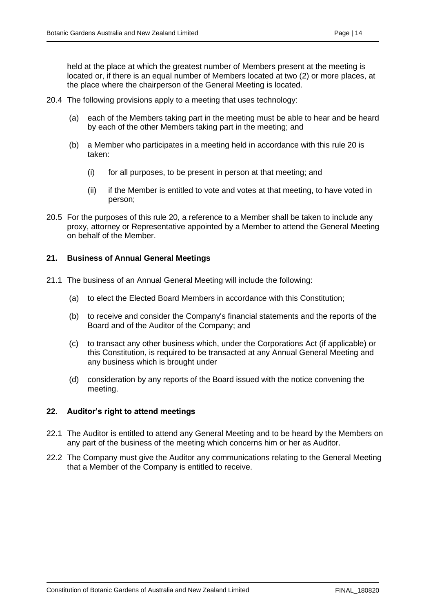held at the place at which the greatest number of Members present at the meeting is located or, if there is an equal number of Members located at two (2) or more places, at the place where the chairperson of the General Meeting is located.

- 20.4 The following provisions apply to a meeting that uses technology:
	- (a) each of the Members taking part in the meeting must be able to hear and be heard by each of the other Members taking part in the meeting; and
	- (b) a Member who participates in a meeting held in accordance with this rule 20 is taken:
		- (i) for all purposes, to be present in person at that meeting; and
		- (ii) if the Member is entitled to vote and votes at that meeting, to have voted in person;
- 20.5 For the purposes of this rule 20, a reference to a Member shall be taken to include any proxy, attorney or Representative appointed by a Member to attend the General Meeting on behalf of the Member.

#### <span id="page-18-0"></span>**21. Business of Annual General Meetings**

- 21.1 The business of an Annual General Meeting will include the following:
	- (a) to elect the Elected Board Members in accordance with this Constitution;
	- (b) to receive and consider the Company's financial statements and the reports of the Board and of the Auditor of the Company; and
	- (c) to transact any other business which, under the Corporations Act (if applicable) or this Constitution, is required to be transacted at any Annual General Meeting and any business which is brought under
	- (d) consideration by any reports of the Board issued with the notice convening the meeting.

#### <span id="page-18-1"></span>**22. Auditor's right to attend meetings**

- 22.1 The Auditor is entitled to attend any General Meeting and to be heard by the Members on any part of the business of the meeting which concerns him or her as Auditor.
- 22.2 The Company must give the Auditor any communications relating to the General Meeting that a Member of the Company is entitled to receive.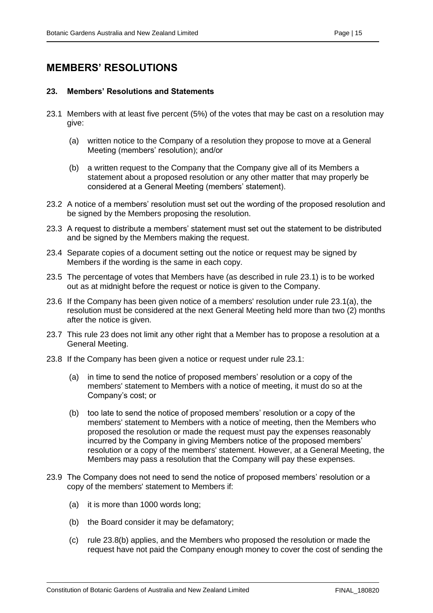## <span id="page-19-0"></span>**MEMBERS' RESOLUTIONS**

#### <span id="page-19-1"></span>**23. Members' Resolutions and Statements**

- 23.1 Members with at least five percent (5%) of the votes that may be cast on a resolution may give:
	- (a) written notice to the Company of a resolution they propose to move at a General Meeting (members' resolution); and/or
	- (b) a written request to the Company that the Company give all of its Members a statement about a proposed resolution or any other matter that may properly be considered at a General Meeting (members' statement).
- 23.2 A notice of a members' resolution must set out the wording of the proposed resolution and be signed by the Members proposing the resolution.
- 23.3 A request to distribute a members' statement must set out the statement to be distributed and be signed by the Members making the request.
- 23.4 Separate copies of a document setting out the notice or request may be signed by Members if the wording is the same in each copy.
- 23.5 The percentage of votes that Members have (as described in rule 23.1) is to be worked out as at midnight before the request or notice is given to the Company.
- 23.6 If the Company has been given notice of a members' resolution under rule 23.1(a), the resolution must be considered at the next General Meeting held more than two (2) months after the notice is given.
- 23.7 This rule 23 does not limit any other right that a Member has to propose a resolution at a General Meeting.
- 23.8 If the Company has been given a notice or request under rule 23.1:
	- (a) in time to send the notice of proposed members' resolution or a copy of the members' statement to Members with a notice of meeting, it must do so at the Company's cost; or
	- (b) too late to send the notice of proposed members' resolution or a copy of the members' statement to Members with a notice of meeting, then the Members who proposed the resolution or made the request must pay the expenses reasonably incurred by the Company in giving Members notice of the proposed members' resolution or a copy of the members' statement. However, at a General Meeting, the Members may pass a resolution that the Company will pay these expenses.
- 23.9 The Company does not need to send the notice of proposed members' resolution or a copy of the members' statement to Members if:
	- (a) it is more than 1000 words long;
	- (b) the Board consider it may be defamatory;
	- (c) rule 23.8(b) applies, and the Members who proposed the resolution or made the request have not paid the Company enough money to cover the cost of sending the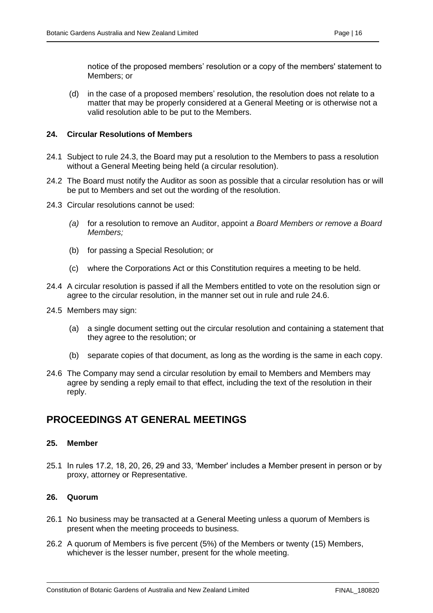notice of the proposed members' resolution or a copy of the members' statement to Members; or

(d) in the case of a proposed members' resolution, the resolution does not relate to a matter that may be properly considered at a General Meeting or is otherwise not a valid resolution able to be put to the Members.

#### <span id="page-20-0"></span>**24. Circular Resolutions of Members**

- 24.1 Subject to rule 24.3, the Board may put a resolution to the Members to pass a resolution without a General Meeting being held (a circular resolution).
- 24.2 The Board must notify the Auditor as soon as possible that a circular resolution has or will be put to Members and set out the wording of the resolution.
- 24.3 Circular resolutions cannot be used:
	- *(a)* for a resolution to remove an Auditor, appoint *a Board Members or remove a Board Members;*
	- (b) for passing a Special Resolution; or
	- (c) where the Corporations Act or this Constitution requires a meeting to be held.
- 24.4 A circular resolution is passed if all the Members entitled to vote on the resolution sign or agree to the circular resolution, in the manner set out in rule and rule 24.6.
- 24.5 Members may sign:
	- (a) a single document setting out the circular resolution and containing a statement that they agree to the resolution; or
	- (b) separate copies of that document, as long as the wording is the same in each copy.
- 24.6 The Company may send a circular resolution by email to Members and Members may agree by sending a reply email to that effect, including the text of the resolution in their reply.

## <span id="page-20-1"></span>**PROCEEDINGS AT GENERAL MEETINGS**

#### <span id="page-20-2"></span>**25. Member**

25.1 In rules 17.2, 18, 20, 26, 29 and 33, 'Member' includes a Member present in person or by proxy, attorney or Representative.

#### <span id="page-20-3"></span>**26. Quorum**

- 26.1 No business may be transacted at a General Meeting unless a quorum of Members is present when the meeting proceeds to business.
- 26.2 A quorum of Members is five percent (5%) of the Members or twenty (15) Members, whichever is the lesser number, present for the whole meeting.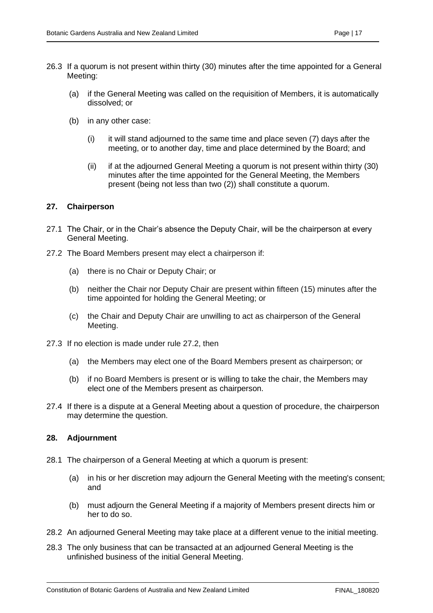- 26.3 If a quorum is not present within thirty (30) minutes after the time appointed for a General Meeting:
	- (a) if the General Meeting was called on the requisition of Members, it is automatically dissolved; or
	- (b) in any other case:
		- $(i)$  it will stand adjourned to the same time and place seven  $(7)$  days after the meeting, or to another day, time and place determined by the Board; and
		- (ii) if at the adjourned General Meeting a quorum is not present within thirty (30) minutes after the time appointed for the General Meeting, the Members present (being not less than two (2)) shall constitute a quorum.

#### <span id="page-21-0"></span>**27. Chairperson**

- 27.1 The Chair, or in the Chair's absence the Deputy Chair, will be the chairperson at every General Meeting.
- 27.2 The Board Members present may elect a chairperson if:
	- (a) there is no Chair or Deputy Chair; or
	- (b) neither the Chair nor Deputy Chair are present within fifteen (15) minutes after the time appointed for holding the General Meeting; or
	- (c) the Chair and Deputy Chair are unwilling to act as chairperson of the General Meeting.
- 27.3 If no election is made under rule 27.2, then
	- (a) the Members may elect one of the Board Members present as chairperson; or
	- (b) if no Board Members is present or is willing to take the chair, the Members may elect one of the Members present as chairperson.
- 27.4 If there is a dispute at a General Meeting about a question of procedure, the chairperson may determine the question.

#### <span id="page-21-1"></span>**28. Adjournment**

- 28.1 The chairperson of a General Meeting at which a quorum is present:
	- (a) in his or her discretion may adjourn the General Meeting with the meeting's consent; and
	- (b) must adjourn the General Meeting if a majority of Members present directs him or her to do so.
- 28.2 An adjourned General Meeting may take place at a different venue to the initial meeting.
- 28.3 The only business that can be transacted at an adjourned General Meeting is the unfinished business of the initial General Meeting.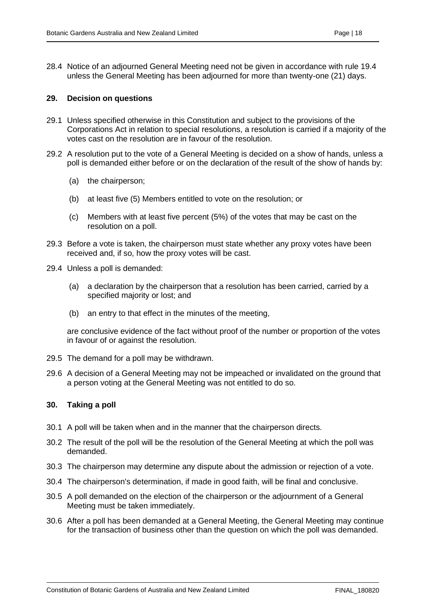28.4 Notice of an adjourned General Meeting need not be given in accordance with rule 19.4 unless the General Meeting has been adjourned for more than twenty-one (21) days.

#### <span id="page-22-0"></span>**29. Decision on questions**

- 29.1 Unless specified otherwise in this Constitution and subject to the provisions of the Corporations Act in relation to special resolutions, a resolution is carried if a majority of the votes cast on the resolution are in favour of the resolution.
- 29.2 A resolution put to the vote of a General Meeting is decided on a show of hands, unless a poll is demanded either before or on the declaration of the result of the show of hands by:
	- (a) the chairperson;
	- (b) at least five (5) Members entitled to vote on the resolution; or
	- (c) Members with at least five percent (5%) of the votes that may be cast on the resolution on a poll.
- 29.3 Before a vote is taken, the chairperson must state whether any proxy votes have been received and, if so, how the proxy votes will be cast.
- 29.4 Unless a poll is demanded:
	- (a) a declaration by the chairperson that a resolution has been carried, carried by a specified majority or lost; and
	- (b) an entry to that effect in the minutes of the meeting,

are conclusive evidence of the fact without proof of the number or proportion of the votes in favour of or against the resolution.

- 29.5 The demand for a poll may be withdrawn.
- 29.6 A decision of a General Meeting may not be impeached or invalidated on the ground that a person voting at the General Meeting was not entitled to do so.

#### <span id="page-22-1"></span>**30. Taking a poll**

- 30.1 A poll will be taken when and in the manner that the chairperson directs.
- 30.2 The result of the poll will be the resolution of the General Meeting at which the poll was demanded.
- 30.3 The chairperson may determine any dispute about the admission or rejection of a vote.
- 30.4 The chairperson's determination, if made in good faith, will be final and conclusive.
- 30.5 A poll demanded on the election of the chairperson or the adjournment of a General Meeting must be taken immediately.
- 30.6 After a poll has been demanded at a General Meeting, the General Meeting may continue for the transaction of business other than the question on which the poll was demanded.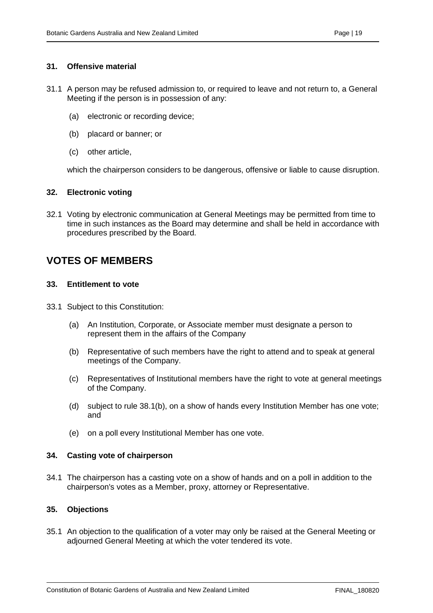#### <span id="page-23-0"></span>**31. Offensive material**

- 31.1 A person may be refused admission to, or required to leave and not return to, a General Meeting if the person is in possession of any:
	- (a) electronic or recording device;
	- (b) placard or banner; or
	- (c) other article,

which the chairperson considers to be dangerous, offensive or liable to cause disruption.

#### <span id="page-23-1"></span>**32. Electronic voting**

32.1 Voting by electronic communication at General Meetings may be permitted from time to time in such instances as the Board may determine and shall be held in accordance with procedures prescribed by the Board.

## <span id="page-23-2"></span>**VOTES OF MEMBERS**

#### <span id="page-23-3"></span>**33. Entitlement to vote**

- 33.1 Subject to this Constitution:
	- (a) An Institution, Corporate, or Associate member must designate a person to represent them in the affairs of the Company
	- (b) Representative of such members have the right to attend and to speak at general meetings of the Company.
	- (c) Representatives of Institutional members have the right to vote at general meetings of the Company.
	- (d) subject to rule 38.1(b), on a show of hands every Institution Member has one vote; and
	- (e) on a poll every Institutional Member has one vote.

#### <span id="page-23-4"></span>**34. Casting vote of chairperson**

34.1 The chairperson has a casting vote on a show of hands and on a poll in addition to the chairperson's votes as a Member, proxy, attorney or Representative.

#### <span id="page-23-5"></span>**35. Objections**

35.1 An objection to the qualification of a voter may only be raised at the General Meeting or adjourned General Meeting at which the voter tendered its vote.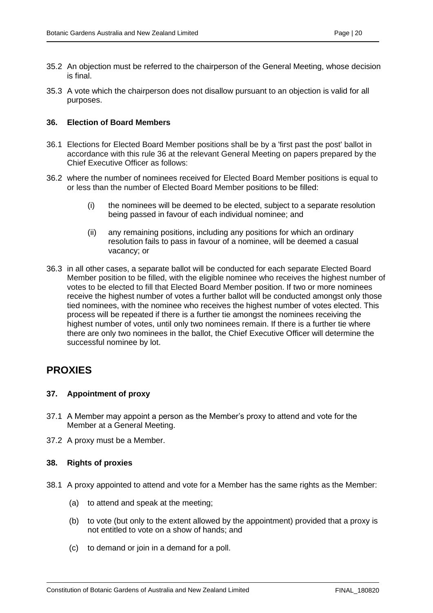- 35.2 An objection must be referred to the chairperson of the General Meeting, whose decision is final.
- 35.3 A vote which the chairperson does not disallow pursuant to an objection is valid for all purposes.

#### <span id="page-24-0"></span>**36. Election of Board Members**

- 36.1 Elections for Elected Board Member positions shall be by a 'first past the post' ballot in accordance with this rule 36 at the relevant General Meeting on papers prepared by the Chief Executive Officer as follows:
- 36.2 where the number of nominees received for Elected Board Member positions is equal to or less than the number of Elected Board Member positions to be filled:
	- (i) the nominees will be deemed to be elected, subject to a separate resolution being passed in favour of each individual nominee; and
	- (ii) any remaining positions, including any positions for which an ordinary resolution fails to pass in favour of a nominee, will be deemed a casual vacancy; or
- 36.3 in all other cases, a separate ballot will be conducted for each separate Elected Board Member position to be filled, with the eligible nominee who receives the highest number of votes to be elected to fill that Elected Board Member position. If two or more nominees receive the highest number of votes a further ballot will be conducted amongst only those tied nominees, with the nominee who receives the highest number of votes elected. This process will be repeated if there is a further tie amongst the nominees receiving the highest number of votes, until only two nominees remain. If there is a further tie where there are only two nominees in the ballot, the Chief Executive Officer will determine the successful nominee by lot.

### <span id="page-24-1"></span>**PROXIES**

#### <span id="page-24-2"></span>**37. Appointment of proxy**

- 37.1 A Member may appoint a person as the Member's proxy to attend and vote for the Member at a General Meeting.
- 37.2 A proxy must be a Member.

#### <span id="page-24-3"></span>**38. Rights of proxies**

- 38.1 A proxy appointed to attend and vote for a Member has the same rights as the Member:
	- (a) to attend and speak at the meeting;
	- (b) to vote (but only to the extent allowed by the appointment) provided that a proxy is not entitled to vote on a show of hands; and
	- (c) to demand or join in a demand for a poll.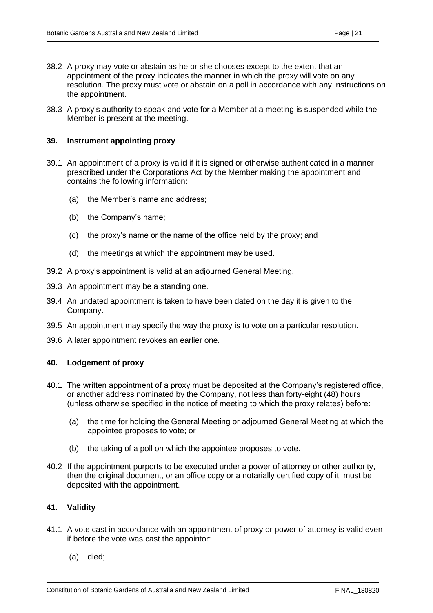- 38.2 A proxy may vote or abstain as he or she chooses except to the extent that an appointment of the proxy indicates the manner in which the proxy will vote on any resolution. The proxy must vote or abstain on a poll in accordance with any instructions on the appointment.
- 38.3 A proxy's authority to speak and vote for a Member at a meeting is suspended while the Member is present at the meeting.

#### <span id="page-25-0"></span>**39. Instrument appointing proxy**

- 39.1 An appointment of a proxy is valid if it is signed or otherwise authenticated in a manner prescribed under the Corporations Act by the Member making the appointment and contains the following information:
	- (a) the Member's name and address;
	- (b) the Company's name;
	- (c) the proxy's name or the name of the office held by the proxy; and
	- (d) the meetings at which the appointment may be used.
- 39.2 A proxy's appointment is valid at an adjourned General Meeting.
- 39.3 An appointment may be a standing one.
- 39.4 An undated appointment is taken to have been dated on the day it is given to the Company.
- 39.5 An appointment may specify the way the proxy is to vote on a particular resolution.
- 39.6 A later appointment revokes an earlier one.

#### <span id="page-25-1"></span>**40. Lodgement of proxy**

- 40.1 The written appointment of a proxy must be deposited at the Company's registered office, or another address nominated by the Company, not less than forty-eight (48) hours (unless otherwise specified in the notice of meeting to which the proxy relates) before:
	- (a) the time for holding the General Meeting or adjourned General Meeting at which the appointee proposes to vote; or
	- (b) the taking of a poll on which the appointee proposes to vote.
- 40.2 If the appointment purports to be executed under a power of attorney or other authority, then the original document, or an office copy or a notarially certified copy of it, must be deposited with the appointment.

#### <span id="page-25-2"></span>**41. Validity**

- 41.1 A vote cast in accordance with an appointment of proxy or power of attorney is valid even if before the vote was cast the appointor:
	- (a) died;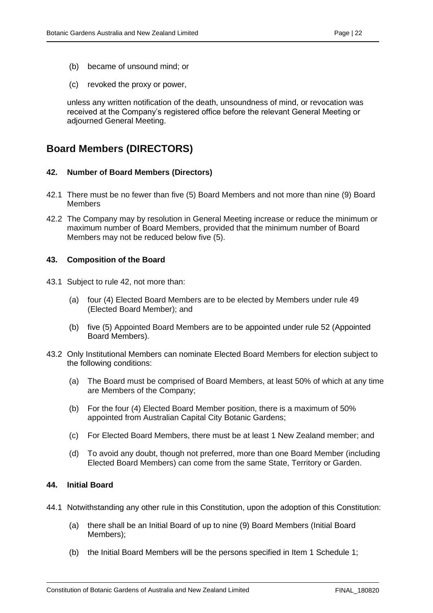- (b) became of unsound mind; or
- (c) revoked the proxy or power,

unless any written notification of the death, unsoundness of mind, or revocation was received at the Company's registered office before the relevant General Meeting or adjourned General Meeting.

## <span id="page-26-0"></span>**Board Members (DIRECTORS)**

#### <span id="page-26-1"></span>**42. Number of Board Members (Directors)**

- 42.1 There must be no fewer than five (5) Board Members and not more than nine (9) Board Members
- 42.2 The Company may by resolution in General Meeting increase or reduce the minimum or maximum number of Board Members, provided that the minimum number of Board Members may not be reduced below five (5).

#### <span id="page-26-2"></span>**43. Composition of the Board**

- 43.1 Subject to rule 42, not more than:
	- (a) four (4) Elected Board Members are to be elected by Members under rule 49 (Elected Board Member); and
	- (b) five (5) Appointed Board Members are to be appointed under rule 52 (Appointed Board Members).
- 43.2 Only Institutional Members can nominate Elected Board Members for election subject to the following conditions:
	- (a) The Board must be comprised of Board Members, at least 50% of which at any time are Members of the Company;
	- (b) For the four (4) Elected Board Member position, there is a maximum of 50% appointed from Australian Capital City Botanic Gardens;
	- (c) For Elected Board Members, there must be at least 1 New Zealand member; and
	- (d) To avoid any doubt, though not preferred, more than one Board Member (including Elected Board Members) can come from the same State, Territory or Garden.

#### <span id="page-26-3"></span>**44. Initial Board**

- 44.1 Notwithstanding any other rule in this Constitution, upon the adoption of this Constitution:
	- (a) there shall be an Initial Board of up to nine (9) Board Members (Initial Board Members);
	- (b) the Initial Board Members will be the persons specified in Item 1 Schedule 1;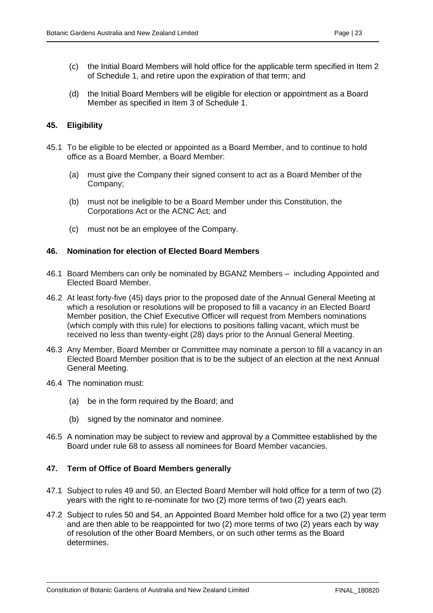- (c) the Initial Board Members will hold office for the applicable term specified in Item 2 of Schedule 1, and retire upon the expiration of that term; and
- (d) the Initial Board Members will be eligible for election or appointment as a Board Member as specified in Item 3 of Schedule 1.

#### <span id="page-27-0"></span>**45. Eligibility**

- 45.1 To be eligible to be elected or appointed as a Board Member, and to continue to hold office as a Board Member, a Board Member:
	- (a) must give the Company their signed consent to act as a Board Member of the Company;
	- (b) must not be ineligible to be a Board Member under this Constitution, the Corporations Act or the ACNC Act; and
	- (c) must not be an employee of the Company.

#### <span id="page-27-1"></span>**46. Nomination for election of Elected Board Members**

- 46.1 Board Members can only be nominated by BGANZ Members including Appointed and Elected Board Member.
- 46.2 At least forty-five (45) days prior to the proposed date of the Annual General Meeting at which a resolution or resolutions will be proposed to fill a vacancy in an Elected Board Member position, the Chief Executive Officer will request from Members nominations (which comply with this rule) for elections to positions falling vacant, which must be received no less than twenty-eight (28) days prior to the Annual General Meeting.
- 46.3 Any Member, Board Member or Committee may nominate a person to fill a vacancy in an Elected Board Member position that is to be the subject of an election at the next Annual General Meeting.
- 46.4 The nomination must:
	- (a) be in the form required by the Board; and
	- (b) signed by the nominator and nominee.
- 46.5 A nomination may be subject to review and approval by a Committee established by the Board under rule 68 to assess all nominees for Board Member vacancies.

#### <span id="page-27-2"></span>**47. Term of Office of Board Members generally**

- 47.1 Subject to rules 49 and 50, an Elected Board Member will hold office for a term of two (2) years with the right to re-nominate for two (2) more terms of two (2) years each.
- 47.2 Subject to rules 50 and 54, an Appointed Board Member hold office for a two (2) year term and are then able to be reappointed for two (2) more terms of two (2) years each by way of resolution of the other Board Members, or on such other terms as the Board determines.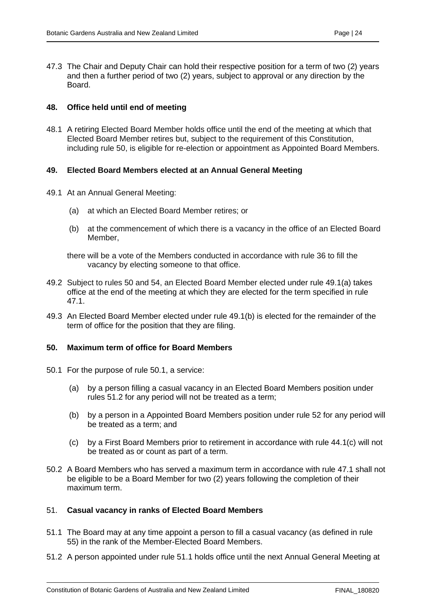47.3 The Chair and Deputy Chair can hold their respective position for a term of two (2) years and then a further period of two (2) years, subject to approval or any direction by the Board.

#### <span id="page-28-0"></span>**48. Office held until end of meeting**

48.1 A retiring Elected Board Member holds office until the end of the meeting at which that Elected Board Member retires but, subject to the requirement of this Constitution, including rule 50, is eligible for re-election or appointment as Appointed Board Members.

#### <span id="page-28-1"></span>**49. Elected Board Members elected at an Annual General Meeting**

- 49.1 At an Annual General Meeting:
	- (a) at which an Elected Board Member retires; or
	- (b) at the commencement of which there is a vacancy in the office of an Elected Board Member,
	- there will be a vote of the Members conducted in accordance with rule 36 to fill the vacancy by electing someone to that office.
- 49.2 Subject to rules 50 and 54, an Elected Board Member elected under rule 49.1(a) takes office at the end of the meeting at which they are elected for the term specified in rule 47.1.
- 49.3 An Elected Board Member elected under rule 49.1(b) is elected for the remainder of the term of office for the position that they are filing.

#### <span id="page-28-2"></span>**50. Maximum term of office for Board Members**

- 50.1 For the purpose of rule 50.1, a service:
	- (a) by a person filling a casual vacancy in an Elected Board Members position under rules 51.2 for any period will not be treated as a term;
	- (b) by a person in a Appointed Board Members position under rule 52 for any period will be treated as a term; and
	- (c) by a First Board Members prior to retirement in accordance with rule 44.1(c) will not be treated as or count as part of a term.
- 50.2 A Board Members who has served a maximum term in accordance with rule 47.1 shall not be eligible to be a Board Member for two (2) years following the completion of their maximum term.

#### <span id="page-28-3"></span>51. **Casual vacancy in ranks of Elected Board Members**

- 51.1 The Board may at any time appoint a person to fill a casual vacancy (as defined in rule 55) in the rank of the Member-Elected Board Members.
- 51.2 A person appointed under rule 51.1 holds office until the next Annual General Meeting at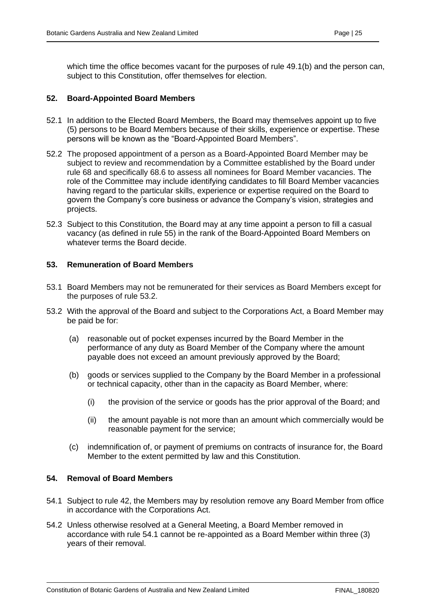which time the office becomes vacant for the purposes of rule 49.1(b) and the person can, subject to this Constitution, offer themselves for election.

#### <span id="page-29-0"></span>**52. Board-Appointed Board Members**

- 52.1 In addition to the Elected Board Members, the Board may themselves appoint up to five (5) persons to be Board Members because of their skills, experience or expertise. These persons will be known as the "Board-Appointed Board Members".
- 52.2 The proposed appointment of a person as a Board-Appointed Board Member may be subject to review and recommendation by a Committee established by the Board under rule 68 and specifically 68.6 to assess all nominees for Board Member vacancies. The role of the Committee may include identifying candidates to fill Board Member vacancies having regard to the particular skills, experience or expertise required on the Board to govern the Company's core business or advance the Company's vision, strategies and projects.
- 52.3 Subject to this Constitution, the Board may at any time appoint a person to fill a casual vacancy (as defined in rule 55) in the rank of the Board-Appointed Board Members on whatever terms the Board decide.

#### <span id="page-29-1"></span>**53. Remuneration of Board Members**

- 53.1 Board Members may not be remunerated for their services as Board Members except for the purposes of rule 53.2.
- 53.2 With the approval of the Board and subject to the Corporations Act, a Board Member may be paid be for:
	- (a) reasonable out of pocket expenses incurred by the Board Member in the performance of any duty as Board Member of the Company where the amount payable does not exceed an amount previously approved by the Board;
	- (b) goods or services supplied to the Company by the Board Member in a professional or technical capacity, other than in the capacity as Board Member, where:
		- (i) the provision of the service or goods has the prior approval of the Board; and
		- (ii) the amount payable is not more than an amount which commercially would be reasonable payment for the service;
	- (c) indemnification of, or payment of premiums on contracts of insurance for, the Board Member to the extent permitted by law and this Constitution.

#### <span id="page-29-2"></span>**54. Removal of Board Members**

- 54.1 Subject to rule 42, the Members may by resolution remove any Board Member from office in accordance with the Corporations Act.
- 54.2 Unless otherwise resolved at a General Meeting, a Board Member removed in accordance with rule 54.1 cannot be re-appointed as a Board Member within three (3) years of their removal.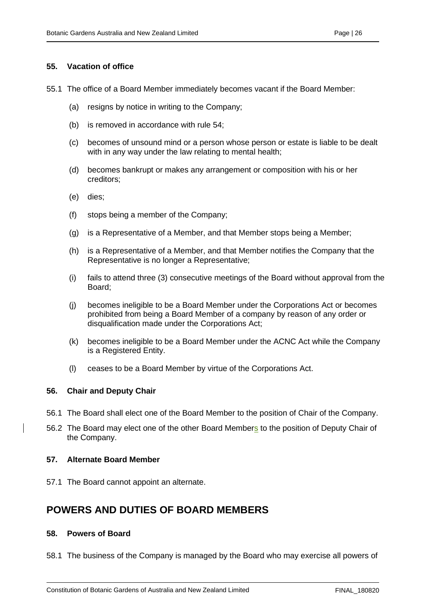#### <span id="page-30-0"></span>**55. Vacation of office**

- 55.1 The office of a Board Member immediately becomes vacant if the Board Member:
	- (a) resigns by notice in writing to the Company;
	- (b) is removed in accordance with rule 54;
	- (c) becomes of unsound mind or a person whose person or estate is liable to be dealt with in any way under the law relating to mental health;
	- (d) becomes bankrupt or makes any arrangement or composition with his or her creditors;
	- (e) dies;
	- (f) stops being a member of the Company;
	- (g) is a Representative of a Member, and that Member stops being a Member;
	- (h) is a Representative of a Member, and that Member notifies the Company that the Representative is no longer a Representative;
	- (i) fails to attend three (3) consecutive meetings of the Board without approval from the Board;
	- (j) becomes ineligible to be a Board Member under the Corporations Act or becomes prohibited from being a Board Member of a company by reason of any order or disqualification made under the Corporations Act;
	- (k) becomes ineligible to be a Board Member under the ACNC Act while the Company is a Registered Entity.
	- (l) ceases to be a Board Member by virtue of the Corporations Act.

#### <span id="page-30-1"></span>**56. Chair and Deputy Chair**

- 56.1 The Board shall elect one of the Board Member to the position of Chair of the Company.
- 56.2 The Board may elect one of the other Board Members to the position of Deputy Chair of the Company.

#### <span id="page-30-2"></span>**57. Alternate Board Member**

57.1 The Board cannot appoint an alternate.

## <span id="page-30-3"></span>**POWERS AND DUTIES OF BOARD MEMBERS**

#### <span id="page-30-4"></span>**58. Powers of Board**

58.1 The business of the Company is managed by the Board who may exercise all powers of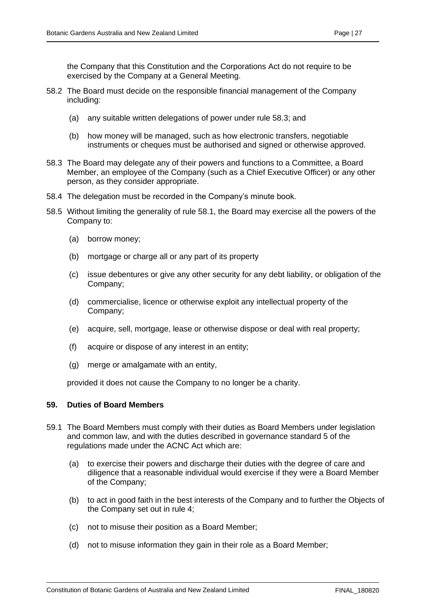the Company that this Constitution and the Corporations Act do not require to be exercised by the Company at a General Meeting.

- 58.2 The Board must decide on the responsible financial management of the Company including:
	- (a) any suitable written delegations of power under rule 58.3; and
	- (b) how money will be managed, such as how electronic transfers, negotiable instruments or cheques must be authorised and signed or otherwise approved.
- 58.3 The Board may delegate any of their powers and functions to a Committee, a Board Member, an employee of the Company (such as a Chief Executive Officer) or any other person, as they consider appropriate.
- 58.4 The delegation must be recorded in the Company's minute book.
- 58.5 Without limiting the generality of rule 58.1, the Board may exercise all the powers of the Company to:
	- (a) borrow money;
	- (b) mortgage or charge all or any part of its property
	- (c) issue debentures or give any other security for any debt liability, or obligation of the Company;
	- (d) commercialise, licence or otherwise exploit any intellectual property of the Company;
	- (e) acquire, sell, mortgage, lease or otherwise dispose or deal with real property;
	- (f) acquire or dispose of any interest in an entity;
	- (g) merge or amalgamate with an entity,

provided it does not cause the Company to no longer be a charity.

#### <span id="page-31-0"></span>**59. Duties of Board Members**

- 59.1 The Board Members must comply with their duties as Board Members under legislation and common law, and with the duties described in governance standard 5 of the regulations made under the ACNC Act which are:
	- (a) to exercise their powers and discharge their duties with the degree of care and diligence that a reasonable individual would exercise if they were a Board Member of the Company;
	- (b) to act in good faith in the best interests of the Company and to further the Objects of the Company set out in rule 4;
	- (c) not to misuse their position as a Board Member;
	- (d) not to misuse information they gain in their role as a Board Member;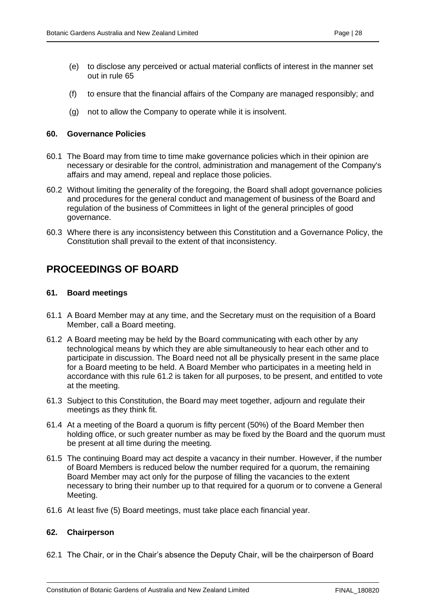- (e) to disclose any perceived or actual material conflicts of interest in the manner set out in rule 65
- (f) to ensure that the financial affairs of the Company are managed responsibly; and
- (g) not to allow the Company to operate while it is insolvent.

#### <span id="page-32-0"></span>**60. Governance Policies**

- 60.1 The Board may from time to time make governance policies which in their opinion are necessary or desirable for the control, administration and management of the Company's affairs and may amend, repeal and replace those policies.
- 60.2 Without limiting the generality of the foregoing, the Board shall adopt governance policies and procedures for the general conduct and management of business of the Board and regulation of the business of Committees in light of the general principles of good governance.
- 60.3 Where there is any inconsistency between this Constitution and a Governance Policy, the Constitution shall prevail to the extent of that inconsistency.

## <span id="page-32-1"></span>**PROCEEDINGS OF BOARD**

#### <span id="page-32-2"></span>**61. Board meetings**

- 61.1 A Board Member may at any time, and the Secretary must on the requisition of a Board Member, call a Board meeting.
- 61.2 A Board meeting may be held by the Board communicating with each other by any technological means by which they are able simultaneously to hear each other and to participate in discussion. The Board need not all be physically present in the same place for a Board meeting to be held. A Board Member who participates in a meeting held in accordance with this rule 61.2 is taken for all purposes, to be present, and entitled to vote at the meeting.
- 61.3 Subject to this Constitution, the Board may meet together, adjourn and regulate their meetings as they think fit.
- 61.4 At a meeting of the Board a quorum is fifty percent (50%) of the Board Member then holding office, or such greater number as may be fixed by the Board and the quorum must be present at all time during the meeting.
- 61.5 The continuing Board may act despite a vacancy in their number. However, if the number of Board Members is reduced below the number required for a quorum, the remaining Board Member may act only for the purpose of filling the vacancies to the extent necessary to bring their number up to that required for a quorum or to convene a General Meeting.
- 61.6 At least five (5) Board meetings, must take place each financial year.

#### <span id="page-32-3"></span>**62. Chairperson**

62.1 The Chair, or in the Chair's absence the Deputy Chair, will be the chairperson of Board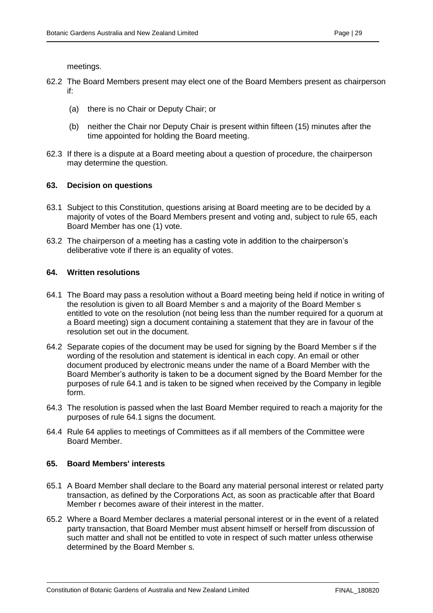meetings.

- 62.2 The Board Members present may elect one of the Board Members present as chairperson if:
	- (a) there is no Chair or Deputy Chair; or
	- (b) neither the Chair nor Deputy Chair is present within fifteen (15) minutes after the time appointed for holding the Board meeting.
- 62.3 If there is a dispute at a Board meeting about a question of procedure, the chairperson may determine the question.

#### <span id="page-33-0"></span>**63. Decision on questions**

- 63.1 Subject to this Constitution, questions arising at Board meeting are to be decided by a majority of votes of the Board Members present and voting and, subject to rule 65, each Board Member has one (1) vote.
- 63.2 The chairperson of a meeting has a casting vote in addition to the chairperson's deliberative vote if there is an equality of votes.

#### <span id="page-33-1"></span>**64. Written resolutions**

- 64.1 The Board may pass a resolution without a Board meeting being held if notice in writing of the resolution is given to all Board Member s and a majority of the Board Member s entitled to vote on the resolution (not being less than the number required for a quorum at a Board meeting) sign a document containing a statement that they are in favour of the resolution set out in the document.
- 64.2 Separate copies of the document may be used for signing by the Board Member s if the wording of the resolution and statement is identical in each copy. An email or other document produced by electronic means under the name of a Board Member with the Board Member's authority is taken to be a document signed by the Board Member for the purposes of rule 64.1 and is taken to be signed when received by the Company in legible form.
- 64.3 The resolution is passed when the last Board Member required to reach a majority for the purposes of rule 64.1 signs the document.
- 64.4 Rule 64 applies to meetings of Committees as if all members of the Committee were Board Member.

#### <span id="page-33-2"></span>**65. Board Members' interests**

- 65.1 A Board Member shall declare to the Board any material personal interest or related party transaction, as defined by the Corporations Act, as soon as practicable after that Board Member r becomes aware of their interest in the matter.
- 65.2 Where a Board Member declares a material personal interest or in the event of a related party transaction, that Board Member must absent himself or herself from discussion of such matter and shall not be entitled to vote in respect of such matter unless otherwise determined by the Board Member s.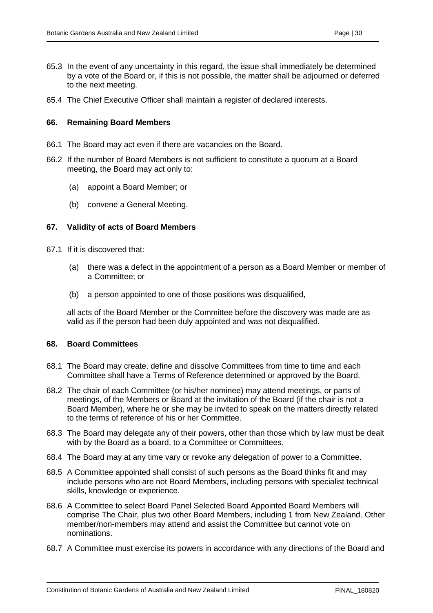- 65.3 In the event of any uncertainty in this regard, the issue shall immediately be determined by a vote of the Board or, if this is not possible, the matter shall be adjourned or deferred to the next meeting.
- 65.4 The Chief Executive Officer shall maintain a register of declared interests.

#### <span id="page-34-0"></span>**66. Remaining Board Members**

- 66.1 The Board may act even if there are vacancies on the Board.
- 66.2 If the number of Board Members is not sufficient to constitute a quorum at a Board meeting, the Board may act only to:
	- (a) appoint a Board Member; or
	- (b) convene a General Meeting.

#### <span id="page-34-1"></span>**67. Validity of acts of Board Members**

- 67.1 If it is discovered that:
	- (a) there was a defect in the appointment of a person as a Board Member or member of a Committee; or
	- (b) a person appointed to one of those positions was disqualified,

all acts of the Board Member or the Committee before the discovery was made are as valid as if the person had been duly appointed and was not disqualified.

#### <span id="page-34-2"></span>**68. Board Committees**

- 68.1 The Board may create, define and dissolve Committees from time to time and each Committee shall have a Terms of Reference determined or approved by the Board.
- 68.2 The chair of each Committee (or his/her nominee) may attend meetings, or parts of meetings, of the Members or Board at the invitation of the Board (if the chair is not a Board Member), where he or she may be invited to speak on the matters directly related to the terms of reference of his or her Committee.
- 68.3 The Board may delegate any of their powers, other than those which by law must be dealt with by the Board as a board, to a Committee or Committees.
- 68.4 The Board may at any time vary or revoke any delegation of power to a Committee.
- 68.5 A Committee appointed shall consist of such persons as the Board thinks fit and may include persons who are not Board Members, including persons with specialist technical skills, knowledge or experience.
- 68.6 A Committee to select Board Panel Selected Board Appointed Board Members will comprise The Chair, plus two other Board Members, including 1 from New Zealand. Other member/non-members may attend and assist the Committee but cannot vote on nominations.
- 68.7 A Committee must exercise its powers in accordance with any directions of the Board and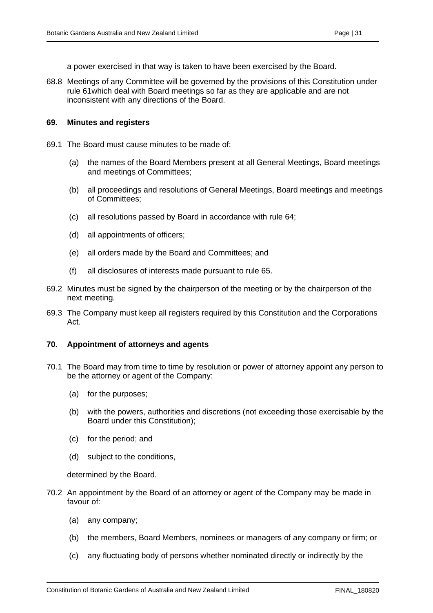a power exercised in that way is taken to have been exercised by the Board.

68.8 Meetings of any Committee will be governed by the provisions of this Constitution under rule 61which deal with Board meetings so far as they are applicable and are not inconsistent with any directions of the Board.

#### <span id="page-35-0"></span>**69. Minutes and registers**

- 69.1 The Board must cause minutes to be made of:
	- (a) the names of the Board Members present at all General Meetings, Board meetings and meetings of Committees;
	- (b) all proceedings and resolutions of General Meetings, Board meetings and meetings of Committees;
	- (c) all resolutions passed by Board in accordance with rule 64;
	- (d) all appointments of officers;
	- (e) all orders made by the Board and Committees; and
	- (f) all disclosures of interests made pursuant to rule 65.
- 69.2 Minutes must be signed by the chairperson of the meeting or by the chairperson of the next meeting.
- 69.3 The Company must keep all registers required by this Constitution and the Corporations Act.

#### <span id="page-35-1"></span>**70. Appointment of attorneys and agents**

- 70.1 The Board may from time to time by resolution or power of attorney appoint any person to be the attorney or agent of the Company:
	- (a) for the purposes;
	- (b) with the powers, authorities and discretions (not exceeding those exercisable by the Board under this Constitution);
	- (c) for the period; and
	- (d) subject to the conditions,

determined by the Board.

- 70.2 An appointment by the Board of an attorney or agent of the Company may be made in favour of:
	- (a) any company;
	- (b) the members, Board Members, nominees or managers of any company or firm; or
	- (c) any fluctuating body of persons whether nominated directly or indirectly by the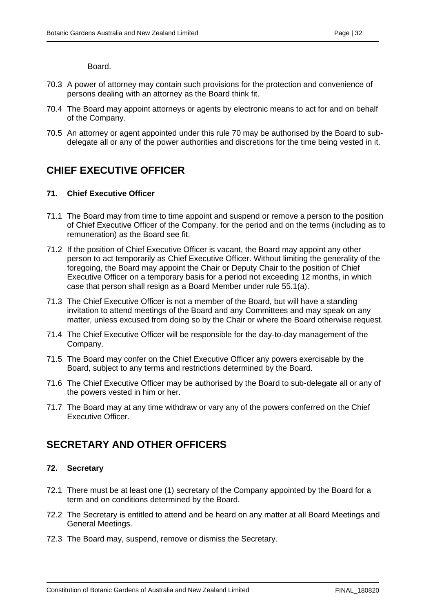Board.

- 70.3 A power of attorney may contain such provisions for the protection and convenience of persons dealing with an attorney as the Board think fit.
- 70.4 The Board may appoint attorneys or agents by electronic means to act for and on behalf of the Company.
- 70.5 An attorney or agent appointed under this rule 70 may be authorised by the Board to subdelegate all or any of the power authorities and discretions for the time being vested in it.

## <span id="page-36-0"></span>**CHIEF EXECUTIVE OFFICER**

#### <span id="page-36-1"></span>**71. Chief Executive Officer**

- 71.1 The Board may from time to time appoint and suspend or remove a person to the position of Chief Executive Officer of the Company, for the period and on the terms (including as to remuneration) as the Board see fit.
- 71.2 If the position of Chief Executive Officer is vacant, the Board may appoint any other person to act temporarily as Chief Executive Officer. Without limiting the generality of the foregoing, the Board may appoint the Chair or Deputy Chair to the position of Chief Executive Officer on a temporary basis for a period not exceeding 12 months, in which case that person shall resign as a Board Member under rule 55.1(a).
- 71.3 The Chief Executive Officer is not a member of the Board, but will have a standing invitation to attend meetings of the Board and any Committees and may speak on any matter, unless excused from doing so by the Chair or where the Board otherwise request.
- 71.4 The Chief Executive Officer will be responsible for the day-to-day management of the Company.
- 71.5 The Board may confer on the Chief Executive Officer any powers exercisable by the Board, subject to any terms and restrictions determined by the Board.
- 71.6 The Chief Executive Officer may be authorised by the Board to sub-delegate all or any of the powers vested in him or her.
- 71.7 The Board may at any time withdraw or vary any of the powers conferred on the Chief Executive Officer.

## <span id="page-36-2"></span>**SECRETARY AND OTHER OFFICERS**

#### <span id="page-36-3"></span>**72. Secretary**

- 72.1 There must be at least one (1) secretary of the Company appointed by the Board for a term and on conditions determined by the Board.
- 72.2 The Secretary is entitled to attend and be heard on any matter at all Board Meetings and General Meetings.
- 72.3 The Board may, suspend, remove or dismiss the Secretary.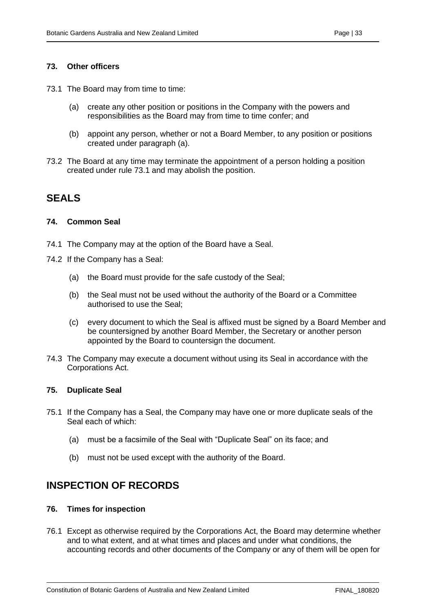#### <span id="page-37-0"></span>**73. Other officers**

- 73.1 The Board may from time to time:
	- (a) create any other position or positions in the Company with the powers and responsibilities as the Board may from time to time confer; and
	- (b) appoint any person, whether or not a Board Member, to any position or positions created under paragraph (a).
- 73.2 The Board at any time may terminate the appointment of a person holding a position created under rule 73.1 and may abolish the position.

## <span id="page-37-1"></span>**SEALS**

#### <span id="page-37-2"></span>**74. Common Seal**

- 74.1 The Company may at the option of the Board have a Seal.
- 74.2 If the Company has a Seal:
	- (a) the Board must provide for the safe custody of the Seal;
	- (b) the Seal must not be used without the authority of the Board or a Committee authorised to use the Seal;
	- (c) every document to which the Seal is affixed must be signed by a Board Member and be countersigned by another Board Member, the Secretary or another person appointed by the Board to countersign the document.
- 74.3 The Company may execute a document without using its Seal in accordance with the Corporations Act.

#### <span id="page-37-3"></span>**75. Duplicate Seal**

- 75.1 If the Company has a Seal, the Company may have one or more duplicate seals of the Seal each of which:
	- (a) must be a facsimile of the Seal with "Duplicate Seal" on its face; and
	- (b) must not be used except with the authority of the Board.

## <span id="page-37-4"></span>**INSPECTION OF RECORDS**

#### <span id="page-37-5"></span>**76. Times for inspection**

76.1 Except as otherwise required by the Corporations Act, the Board may determine whether and to what extent, and at what times and places and under what conditions, the accounting records and other documents of the Company or any of them will be open for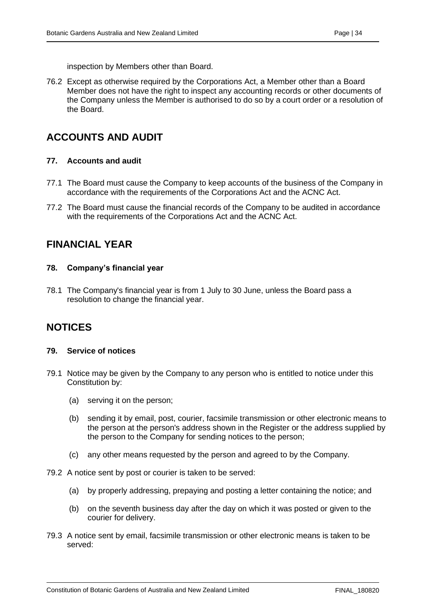inspection by Members other than Board.

76.2 Except as otherwise required by the Corporations Act, a Member other than a Board Member does not have the right to inspect any accounting records or other documents of the Company unless the Member is authorised to do so by a court order or a resolution of the Board.

## <span id="page-38-0"></span>**ACCOUNTS AND AUDIT**

#### <span id="page-38-1"></span>**77. Accounts and audit**

- 77.1 The Board must cause the Company to keep accounts of the business of the Company in accordance with the requirements of the Corporations Act and the ACNC Act.
- 77.2 The Board must cause the financial records of the Company to be audited in accordance with the requirements of the Corporations Act and the ACNC Act.

## <span id="page-38-2"></span>**FINANCIAL YEAR**

#### <span id="page-38-3"></span>**78. Company's financial year**

78.1 The Company's financial year is from 1 July to 30 June, unless the Board pass a resolution to change the financial year.

## <span id="page-38-4"></span>**NOTICES**

#### <span id="page-38-5"></span>**79. Service of notices**

- 79.1 Notice may be given by the Company to any person who is entitled to notice under this Constitution by:
	- (a) serving it on the person;
	- (b) sending it by email, post, courier, facsimile transmission or other electronic means to the person at the person's address shown in the Register or the address supplied by the person to the Company for sending notices to the person;
	- (c) any other means requested by the person and agreed to by the Company.
- 79.2 A notice sent by post or courier is taken to be served:
	- (a) by properly addressing, prepaying and posting a letter containing the notice; and
	- (b) on the seventh business day after the day on which it was posted or given to the courier for delivery.
- 79.3 A notice sent by email, facsimile transmission or other electronic means is taken to be served: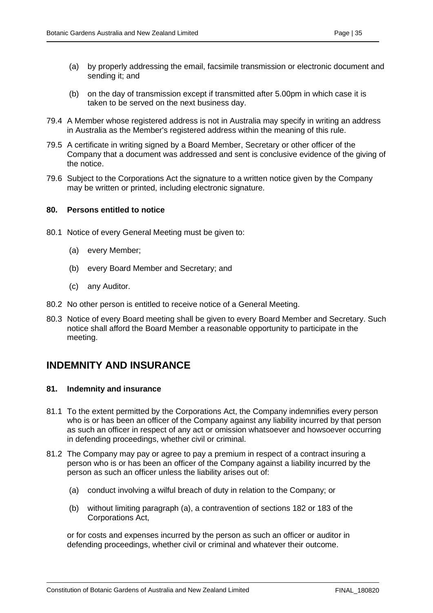- (a) by properly addressing the email, facsimile transmission or electronic document and sending it; and
- (b) on the day of transmission except if transmitted after 5.00pm in which case it is taken to be served on the next business day.
- 79.4 A Member whose registered address is not in Australia may specify in writing an address in Australia as the Member's registered address within the meaning of this rule.
- 79.5 A certificate in writing signed by a Board Member, Secretary or other officer of the Company that a document was addressed and sent is conclusive evidence of the giving of the notice.
- 79.6 Subject to the Corporations Act the signature to a written notice given by the Company may be written or printed, including electronic signature.

#### <span id="page-39-0"></span>**80. Persons entitled to notice**

- 80.1 Notice of every General Meeting must be given to:
	- (a) every Member;
	- (b) every Board Member and Secretary; and
	- (c) any Auditor.
- 80.2 No other person is entitled to receive notice of a General Meeting.
- 80.3 Notice of every Board meeting shall be given to every Board Member and Secretary. Such notice shall afford the Board Member a reasonable opportunity to participate in the meeting.

## <span id="page-39-1"></span>**INDEMNITY AND INSURANCE**

#### <span id="page-39-2"></span>**81. Indemnity and insurance**

- 81.1 To the extent permitted by the Corporations Act, the Company indemnifies every person who is or has been an officer of the Company against any liability incurred by that person as such an officer in respect of any act or omission whatsoever and howsoever occurring in defending proceedings, whether civil or criminal.
- 81.2 The Company may pay or agree to pay a premium in respect of a contract insuring a person who is or has been an officer of the Company against a liability incurred by the person as such an officer unless the liability arises out of:
	- (a) conduct involving a wilful breach of duty in relation to the Company; or
	- (b) without limiting paragraph (a), a contravention of sections 182 or 183 of the Corporations Act,

or for costs and expenses incurred by the person as such an officer or auditor in defending proceedings, whether civil or criminal and whatever their outcome.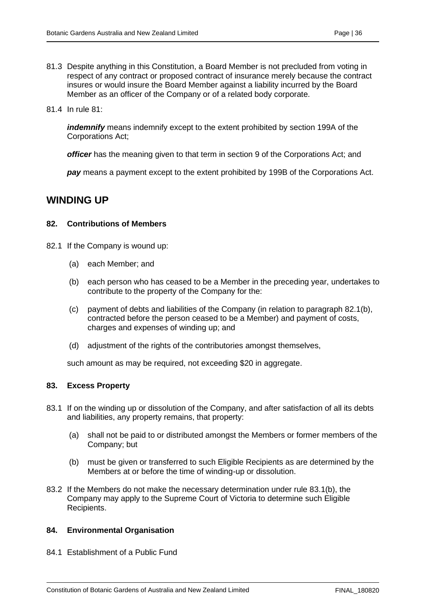- 81.3 Despite anything in this Constitution, a Board Member is not precluded from voting in respect of any contract or proposed contract of insurance merely because the contract insures or would insure the Board Member against a liability incurred by the Board Member as an officer of the Company or of a related body corporate.
- 81.4 In rule 81:

*indemnify* means indemnify except to the extent prohibited by section 199A of the Corporations Act;

*officer* has the meaning given to that term in section 9 of the Corporations Act; and

*pay* means a payment except to the extent prohibited by 199B of the Corporations Act.

## <span id="page-40-0"></span>**WINDING UP**

#### <span id="page-40-1"></span>**82. Contributions of Members**

- 82.1 If the Company is wound up:
	- (a) each Member; and
	- (b) each person who has ceased to be a Member in the preceding year, undertakes to contribute to the property of the Company for the:
	- (c) payment of debts and liabilities of the Company (in relation to paragraph 82.1(b), contracted before the person ceased to be a Member) and payment of costs, charges and expenses of winding up; and
	- (d) adjustment of the rights of the contributories amongst themselves,

such amount as may be required, not exceeding \$20 in aggregate.

#### <span id="page-40-2"></span>**83. Excess Property**

- 83.1 If on the winding up or dissolution of the Company, and after satisfaction of all its debts and liabilities, any property remains, that property:
	- (a) shall not be paid to or distributed amongst the Members or former members of the Company; but
	- (b) must be given or transferred to such Eligible Recipients as are determined by the Members at or before the time of winding-up or dissolution.
- 83.2 If the Members do not make the necessary determination under rule 83.1(b), the Company may apply to the Supreme Court of Victoria to determine such Eligible Recipients.

#### <span id="page-40-3"></span>**84. Environmental Organisation**

84.1 Establishment of a Public Fund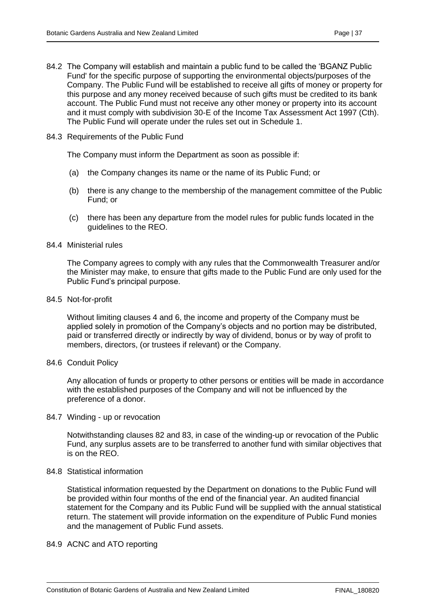- 84.2 The Company will establish and maintain a public fund to be called the 'BGANZ Public Fund' for the specific purpose of supporting the environmental objects/purposes of the Company. The Public Fund will be established to receive all gifts of money or property for this purpose and any money received because of such gifts must be credited to its bank account. The Public Fund must not receive any other money or property into its account and it must comply with subdivision 30-E of the Income Tax Assessment Act 1997 (Cth). The Public Fund will operate under the rules set out in Schedule 1.
- 84.3 Requirements of the Public Fund

The Company must inform the Department as soon as possible if:

- (a) the Company changes its name or the name of its Public Fund; or
- (b) there is any change to the membership of the management committee of the Public Fund; or
- (c) there has been any departure from the model rules for public funds located in the guidelines to the REO.
- 84.4 Ministerial rules

The Company agrees to comply with any rules that the Commonwealth Treasurer and/or the Minister may make, to ensure that gifts made to the Public Fund are only used for the Public Fund's principal purpose.

84.5 Not-for-profit

Without limiting clauses 4 and 6, the income and property of the Company must be applied solely in promotion of the Company's objects and no portion may be distributed, paid or transferred directly or indirectly by way of dividend, bonus or by way of profit to members, directors, (or trustees if relevant) or the Company.

84.6 Conduit Policy

Any allocation of funds or property to other persons or entities will be made in accordance with the established purposes of the Company and will not be influenced by the preference of a donor.

84.7 Winding - up or revocation

Notwithstanding clauses 82 and 83, in case of the winding-up or revocation of the Public Fund, any surplus assets are to be transferred to another fund with similar objectives that is on the REO.

#### 84.8 Statistical information

Statistical information requested by the Department on donations to the Public Fund will be provided within four months of the end of the financial year. An audited financial statement for the Company and its Public Fund will be supplied with the annual statistical return. The statement will provide information on the expenditure of Public Fund monies and the management of Public Fund assets.

#### 84.9 ACNC and ATO reporting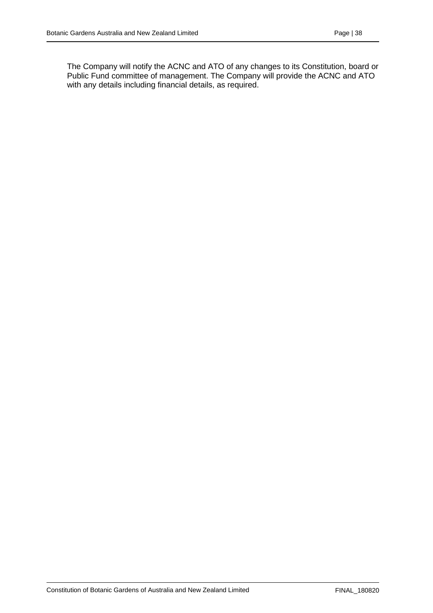The Company will notify the ACNC and ATO of any changes to its Constitution, board or Public Fund committee of management. The Company will provide the ACNC and ATO with any details including financial details, as required.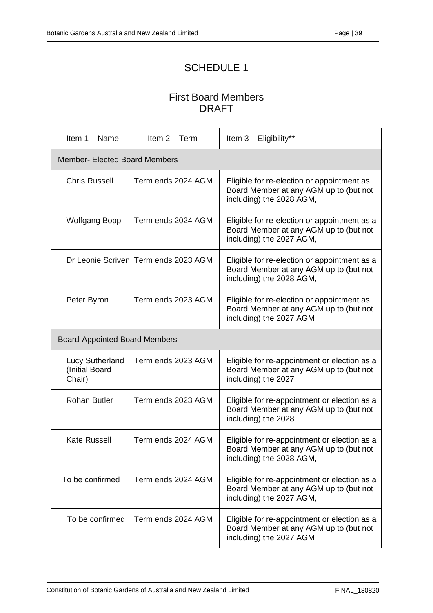## SCHEDULE 1

## First Board Members DRAFT

<span id="page-43-1"></span><span id="page-43-0"></span>

| Item 1 - Name                                      | Item $2 - Term$                      | Item 3 - Eligibility**                                                                                             |  |  |
|----------------------------------------------------|--------------------------------------|--------------------------------------------------------------------------------------------------------------------|--|--|
| <b>Member- Elected Board Members</b>               |                                      |                                                                                                                    |  |  |
| <b>Chris Russell</b>                               | Term ends 2024 AGM                   | Eligible for re-election or appointment as<br>Board Member at any AGM up to (but not<br>including) the 2028 AGM,   |  |  |
| <b>Wolfgang Bopp</b>                               | Term ends 2024 AGM                   | Eligible for re-election or appointment as a<br>Board Member at any AGM up to (but not<br>including) the 2027 AGM, |  |  |
|                                                    | Dr Leonie Scriven Term ends 2023 AGM | Eligible for re-election or appointment as a<br>Board Member at any AGM up to (but not<br>including) the 2028 AGM, |  |  |
| Peter Byron                                        | Term ends 2023 AGM                   | Eligible for re-election or appointment as<br>Board Member at any AGM up to (but not<br>including) the 2027 AGM    |  |  |
| <b>Board-Appointed Board Members</b>               |                                      |                                                                                                                    |  |  |
| <b>Lucy Sutherland</b><br>(Initial Board<br>Chair) | Term ends 2023 AGM                   | Eligible for re-appointment or election as a<br>Board Member at any AGM up to (but not<br>including) the 2027      |  |  |
| <b>Rohan Butler</b>                                | Term ends 2023 AGM                   | Eligible for re-appointment or election as a<br>Board Member at any AGM up to (but not<br>including) the 2028      |  |  |
| <b>Kate Russell</b>                                | Term ends 2024 AGM                   | Eligible for re-appointment or election as a<br>Board Member at any AGM up to (but not<br>including) the 2028 AGM, |  |  |
| To be confirmed                                    | Term ends 2024 AGM                   | Eligible for re-appointment or election as a<br>Board Member at any AGM up to (but not<br>including) the 2027 AGM, |  |  |
| To be confirmed                                    | Term ends 2024 AGM                   | Eligible for re-appointment or election as a<br>Board Member at any AGM up to (but not<br>including) the 2027 AGM  |  |  |